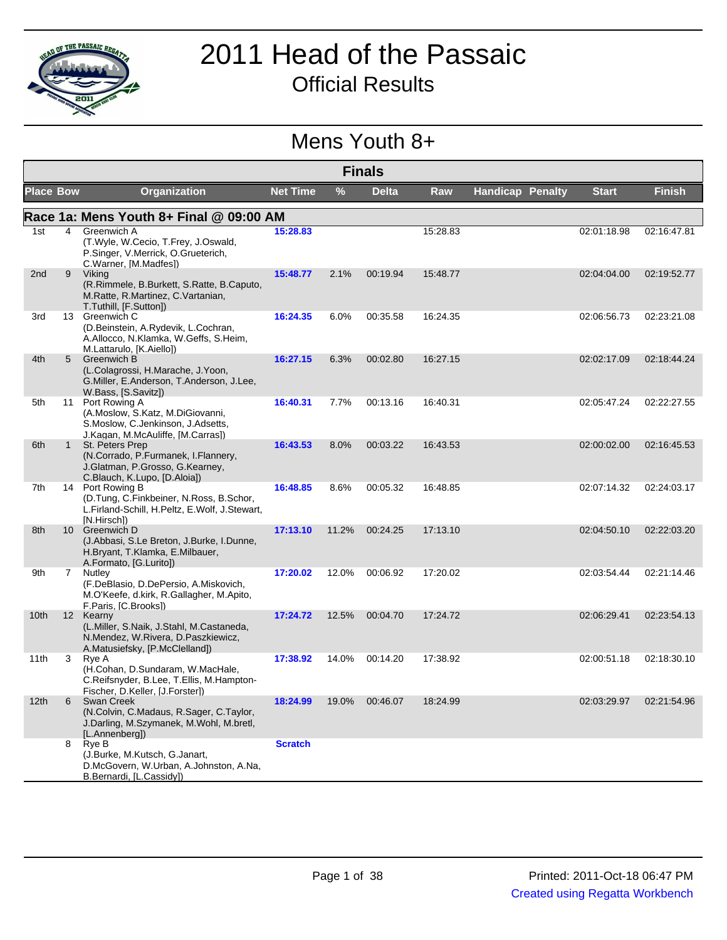

### 2011 Head of the Passaic Official Results

#### Mens Youth 8+

|                  | <b>Finals</b>   |                                                                                                                             |                 |       |              |          |                         |              |               |  |
|------------------|-----------------|-----------------------------------------------------------------------------------------------------------------------------|-----------------|-------|--------------|----------|-------------------------|--------------|---------------|--|
| <b>Place Bow</b> |                 | <b>Organization</b>                                                                                                         | <b>Net Time</b> | %     | <b>Delta</b> | Raw      | <b>Handicap Penalty</b> | <b>Start</b> | <b>Finish</b> |  |
|                  |                 | Race 1a: Mens Youth 8+ Final @ 09:00 AM                                                                                     |                 |       |              |          |                         |              |               |  |
| 1st              | 4               | Greenwich A<br>(T.Wyle, W.Cecio, T.Frey, J.Oswald,<br>P.Singer, V.Merrick, O.Grueterich,<br>C.Warner, [M.Madfes])           | 15:28.83        |       |              | 15:28.83 |                         | 02:01:18.98  | 02:16:47.81   |  |
| 2nd              | 9               | Viking<br>(R.Rimmele, B.Burkett, S.Ratte, B.Caputo,<br>M.Ratte, R.Martinez, C.Vartanian,<br>T.Tuthill, [F.Sutton])          | 15:48.77        | 2.1%  | 00:19.94     | 15:48.77 |                         | 02:04:04.00  | 02:19:52.77   |  |
| 3rd              |                 | 13 Greenwich C<br>(D.Beinstein, A.Rydevik, L.Cochran,<br>A.Allocco, N.Klamka, W.Geffs, S.Heim,<br>M.Lattarulo, [K.Aiello])  | 16:24.35        | 6.0%  | 00:35.58     | 16:24.35 |                         | 02:06:56.73  | 02:23:21.08   |  |
| 4th              | 5               | <b>Greenwich B</b><br>(L.Colagrossi, H.Marache, J.Yoon,<br>G.Miller, E.Anderson, T.Anderson, J.Lee,<br>W.Bass. [S.Savitz])  | 16:27.15        | 6.3%  | 00:02.80     | 16:27.15 |                         | 02:02:17.09  | 02:18:44.24   |  |
| 5th              | 11              | Port Rowing A<br>(A.Moslow, S.Katz, M.DiGiovanni,<br>S.Moslow, C.Jenkinson, J.Adsetts,<br>J.Kagan, M.McAuliffe, [M.Carras]) | 16:40.31        | 7.7%  | 00:13.16     | 16:40.31 |                         | 02:05:47.24  | 02:22:27.55   |  |
| 6th              | $\mathbf{1}$    | St. Peters Prep<br>(N.Corrado, P.Furmanek, I.Flannery,<br>J.Glatman, P.Grosso, G.Kearney,<br>C.Blauch, K.Lupo, [D.Aloia])   | 16:43.53        | 8.0%  | 00:03.22     | 16:43.53 |                         | 02:00:02.00  | 02:16:45.53   |  |
| 7th              |                 | 14 Port Rowing B<br>(D.Tung, C.Finkbeiner, N.Ross, B.Schor,<br>L.Firland-Schill, H.Peltz, E.Wolf, J.Stewart,<br>IN.Hirschl) | 16:48.85        | 8.6%  | 00:05.32     | 16:48.85 |                         | 02:07:14.32  | 02:24:03.17   |  |
| 8th              |                 | 10 Greenwich D<br>(J.Abbasi, S.Le Breton, J.Burke, I.Dunne,<br>H.Bryant, T.Klamka, E.Milbauer,<br>A.Formato, [G.Lurito])    | 17:13.10        | 11.2% | 00:24.25     | 17:13.10 |                         | 02:04:50.10  | 02:22:03.20   |  |
| 9th              | $7^{\circ}$     | Nutley<br>(F.DeBlasio, D.DePersio, A.Miskovich,<br>M.O'Keefe, d.kirk, R.Gallagher, M.Apito,<br>F.Paris, [C.Brooks])         | 17:20.02        | 12.0% | 00:06.92     | 17:20.02 |                         | 02:03:54.44  | 02:21:14.46   |  |
| 10 <sub>th</sub> | 12 <sup>2</sup> | Kearny<br>(L.Miller, S.Naik, J.Stahl, M.Castaneda,<br>N.Mendez, W.Rivera, D.Paszkiewicz,<br>A.Matusiefsky, [P.McClelland])  | 17:24.72        | 12.5% | 00:04.70     | 17:24.72 |                         | 02:06:29.41  | 02:23:54.13   |  |
| 11th             | 3               | Rye A<br>(H.Cohan, D.Sundaram, W.MacHale,<br>C.Reifsnyder, B.Lee, T.Ellis, M.Hampton-<br>Fischer, D.Keller, [J.Forster])    | 17:38.92        | 14.0% | 00:14.20     | 17:38.92 |                         | 02:00:51.18  | 02:18:30.10   |  |
| 12 <sub>th</sub> | 6               | Swan Creek<br>(N.Colvin, C.Madaus, R.Sager, C.Taylor,<br>J.Darling, M.Szymanek, M.Wohl, M.bretl,<br>[L.Annenberg])          | 18:24.99        | 19.0% | 00:46.07     | 18:24.99 |                         | 02:03:29.97  | 02:21:54.96   |  |
|                  | 8               | Rye B<br>(J.Burke, M.Kutsch, G.Janart,<br>D.McGovern, W.Urban, A.Johnston, A.Na,<br>B.Bernardi, [L.Cassidy])                | <b>Scratch</b>  |       |              |          |                         |              |               |  |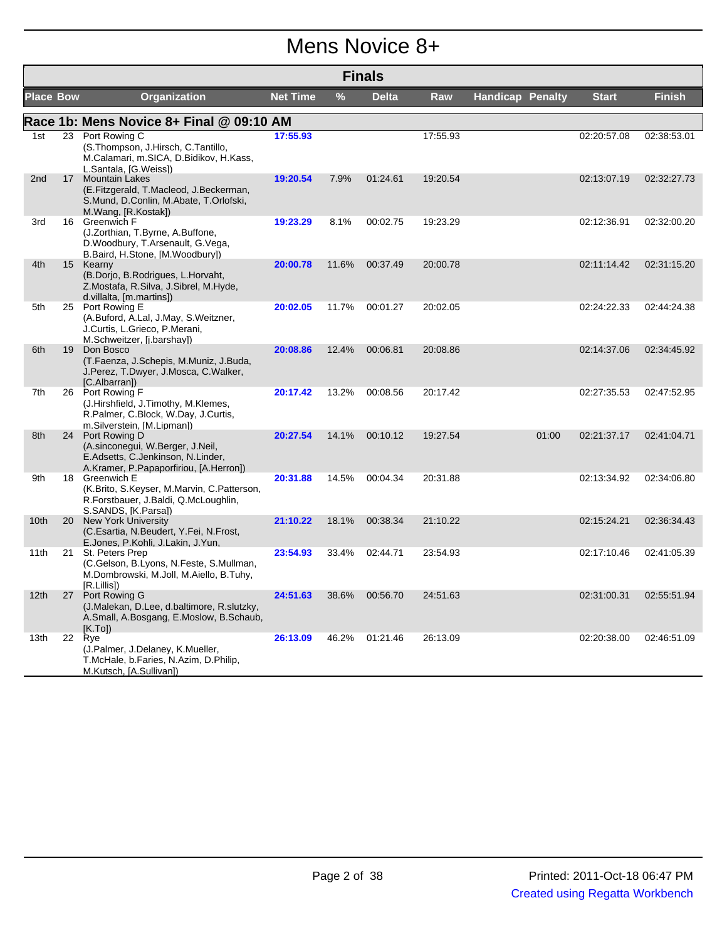### Mens Novice 8+

|                  | <b>Finals</b> |                                                                                                                                  |                 |       |              |            |                         |              |               |  |  |
|------------------|---------------|----------------------------------------------------------------------------------------------------------------------------------|-----------------|-------|--------------|------------|-------------------------|--------------|---------------|--|--|
| <b>Place Bow</b> |               | Organization                                                                                                                     | <b>Net Time</b> | $\%$  | <b>Delta</b> | <b>Raw</b> | <b>Handicap Penalty</b> | <b>Start</b> | <b>Finish</b> |  |  |
|                  |               | Race 1b: Mens Novice 8+ Final @ 09:10 AM                                                                                         |                 |       |              |            |                         |              |               |  |  |
| 1st              | 23            | Port Rowing C<br>(S.Thompson, J.Hirsch, C.Tantillo,<br>M.Calamari, m.SICA, D.Bidikov, H.Kass,<br>L.Santala, [G.Weiss])           | 17:55.93        |       |              | 17:55.93   |                         | 02:20:57.08  | 02:38:53.01   |  |  |
| 2nd              |               | 17 Mountain Lakes<br>(E.Fitzgerald, T.Macleod, J.Beckerman,<br>S.Mund, D.Conlin, M.Abate, T.Orlofski,<br>M.Wang, [R.Kostak])     | 19:20.54        | 7.9%  | 01:24.61     | 19:20.54   |                         | 02:13:07.19  | 02:32:27.73   |  |  |
| 3rd              | 16            | <b>Greenwich F</b><br>(J.Zorthian, T.Byrne, A.Buffone,<br>D. Woodbury, T. Arsenault, G. Vega,<br>B.Baird, H.Stone, [M.Woodbury]) | 19:23.29        | 8.1%  | 00:02.75     | 19:23.29   |                         | 02:12:36.91  | 02:32:00.20   |  |  |
| 4th              |               | 15 Kearny<br>(B.Dorjo, B.Rodrigues, L.Horvaht,<br>Z.Mostafa, R.Silva, J.Sibrel, M.Hyde,<br>d.villalta, [m.martins])              | 20:00.78        | 11.6% | 00:37.49     | 20:00.78   |                         | 02:11:14.42  | 02:31:15.20   |  |  |
| 5th              |               | 25 Port Rowing E<br>(A.Buford, A.Lal, J.May, S.Weitzner,<br>J.Curtis, L.Grieco, P.Merani,<br>M.Schweitzer, [j.barshay])          | 20:02.05        | 11.7% | 00:01.27     | 20:02.05   |                         | 02:24:22.33  | 02:44:24.38   |  |  |
| 6th              |               | 19 Don Bosco<br>(T.Faenza, J.Schepis, M.Muniz, J.Buda,<br>J.Perez, T.Dwyer, J.Mosca, C.Walker,<br>[C.Albarran])                  | 20:08.86        | 12.4% | 00:06.81     | 20:08.86   |                         | 02:14:37.06  | 02:34:45.92   |  |  |
| 7th              |               | 26 Port Rowing F<br>(J.Hirshfield, J.Timothy, M.Klemes,<br>R.Palmer, C.Block, W.Day, J.Curtis,<br>m.Silverstein, [M.Lipman])     | 20:17.42        | 13.2% | 00:08.56     | 20:17.42   |                         | 02:27:35.53  | 02:47:52.95   |  |  |
| 8th              | 24            | Port Rowing D<br>(A.sinconegui, W.Berger, J.Neil,<br>E.Adsetts, C.Jenkinson, N.Linder,<br>A.Kramer, P.Papaporfiriou, [A.Herron]) | 20:27.54        | 14.1% | 00:10.12     | 19:27.54   | 01:00                   | 02:21:37.17  | 02:41:04.71   |  |  |
| 9th              |               | 18 Greenwich E<br>(K.Brito, S.Keyser, M.Marvin, C.Patterson,<br>R.Forstbauer, J.Baldi, Q.McLoughlin,<br>S.SANDS, [K.Parsa])      | 20:31.88        | 14.5% | 00:04.34     | 20:31.88   |                         | 02:13:34.92  | 02:34:06.80   |  |  |
| 10 <sub>th</sub> |               | 20 New York University<br>(C.Esartia, N.Beudert, Y.Fei, N.Frost,<br>E.Jones, P.Kohli, J.Lakin, J.Yun,                            | 21:10.22        | 18.1% | 00:38.34     | 21:10.22   |                         | 02:15:24.21  | 02:36:34.43   |  |  |
| 11th             |               | 21 St. Peters Prep<br>(C.Gelson, B.Lyons, N.Feste, S.Mullman,<br>M.Dombrowski, M.Joll, M.Aiello, B.Tuhy,<br>[R.Lillis])          | 23:54.93        | 33.4% | 02:44.71     | 23:54.93   |                         | 02:17:10.46  | 02:41:05.39   |  |  |
| 12 <sub>th</sub> | 27            | Port Rowing G<br>(J.Malekan, D.Lee, d.baltimore, R.slutzky,<br>A.Small, A.Bosgang, E.Moslow, B.Schaub,<br>[K.Tol)                | 24:51.63        | 38.6% | 00:56.70     | 24:51.63   |                         | 02:31:00.31  | 02:55:51.94   |  |  |
| 13th             |               | 22 Rye<br>(J.Palmer, J.Delaney, K.Mueller,<br>T.McHale, b.Faries, N.Azim, D.Philip,<br>M.Kutsch, [A.Sullivan])                   | 26:13.09        | 46.2% | 01:21.46     | 26:13.09   |                         | 02:20:38.00  | 02:46:51.09   |  |  |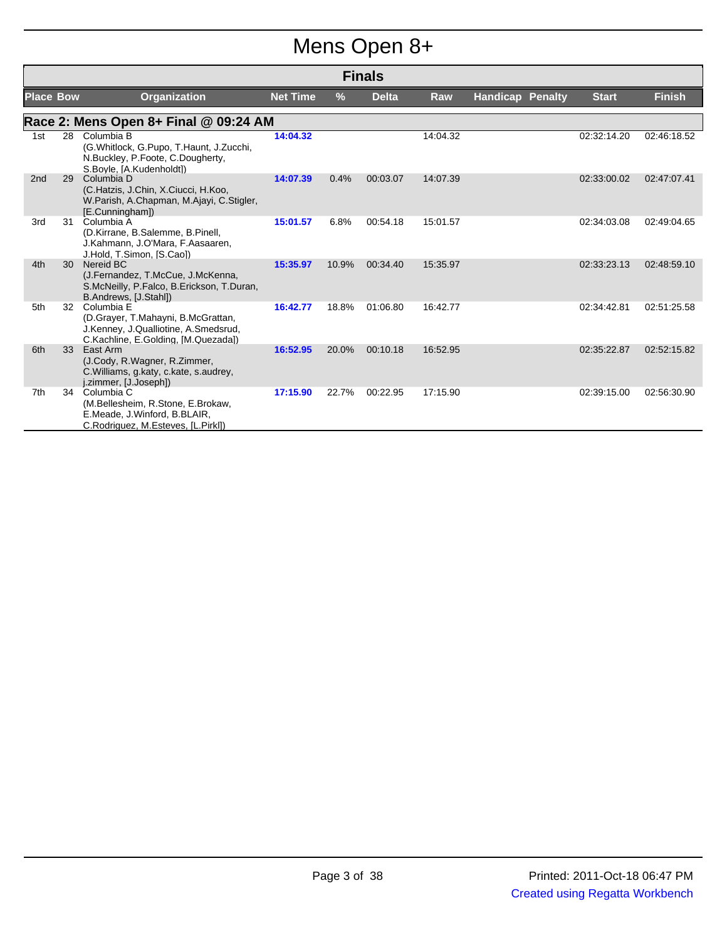# Mens Open 8+

|                  | <b>Finals</b> |                                                                                                                                 |                 |       |              |            |                         |              |               |  |
|------------------|---------------|---------------------------------------------------------------------------------------------------------------------------------|-----------------|-------|--------------|------------|-------------------------|--------------|---------------|--|
| <b>Place Bow</b> |               | <b>Organization</b>                                                                                                             | <b>Net Time</b> | $\%$  | <b>Delta</b> | <b>Raw</b> | <b>Handicap Penalty</b> | <b>Start</b> | <b>Finish</b> |  |
|                  |               | Race 2: Mens Open 8+ Final @ 09:24 AM                                                                                           |                 |       |              |            |                         |              |               |  |
| 1st              | 28            | Columbia B<br>(G.Whitlock, G.Pupo, T.Haunt, J.Zucchi,<br>N.Buckley, P.Foote, C.Dougherty,<br>S.Boyle, [A.Kudenholdt])           | 14:04.32        |       |              | 14:04.32   |                         | 02:32:14.20  | 02:46:18.52   |  |
| 2 <sub>nd</sub>  | 29            | Columbia D<br>(C.Hatzis, J.Chin, X.Ciucci, H.Koo,<br>W.Parish, A.Chapman, M.Ajayi, C.Stigler,<br>[E.Cunningham])                | 14:07.39        | 0.4%  | 00:03.07     | 14:07.39   |                         | 02:33:00.02  | 02:47:07.41   |  |
| 3rd              | 31            | Columbia A<br>(D.Kirrane, B.Salemme, B.Pinell,<br>J.Kahmann, J.O'Mara, F.Aasaaren,<br>J.Hold, T.Simon, [S.Cao])                 | 15:01.57        | 6.8%  | 00:54.18     | 15:01.57   |                         | 02:34:03.08  | 02:49:04.65   |  |
| 4th              | 30 ·          | Nereid BC<br>(J.Fernandez, T.McCue, J.McKenna,<br>S.McNeilly, P.Falco, B.Erickson, T.Duran,<br>B.Andrews, [J.Stahl])            | 15:35.97        | 10.9% | 00:34.40     | 15:35.97   |                         | 02:33:23.13  | 02:48:59.10   |  |
| 5th              | 32            | Columbia E<br>(D.Grayer, T.Mahayni, B.McGrattan,<br>J.Kenney, J.Qualliotine, A.Smedsrud,<br>C.Kachline, E.Golding, [M.Quezada]) | 16:42.77        | 18.8% | 01:06.80     | 16:42.77   |                         | 02:34:42.81  | 02:51:25.58   |  |
| 6th              | 33            | East Arm<br>(J.Cody, R.Wagner, R.Zimmer,<br>C. Williams, g. katy, c. kate, s. audrey,<br>j.zimmer, [J.Joseph])                  | 16:52.95        | 20.0% | 00:10.18     | 16:52.95   |                         | 02:35:22.87  | 02:52:15.82   |  |
| 7th              | 34            | Columbia C<br>(M.Bellesheim, R.Stone, E.Brokaw,<br>E.Meade, J.Winford, B.BLAIR,<br>C.Rodriguez, M.Esteves, [L.Pirkl])           | 17:15.90        | 22.7% | 00:22.95     | 17:15.90   |                         | 02:39:15.00  | 02:56:30.90   |  |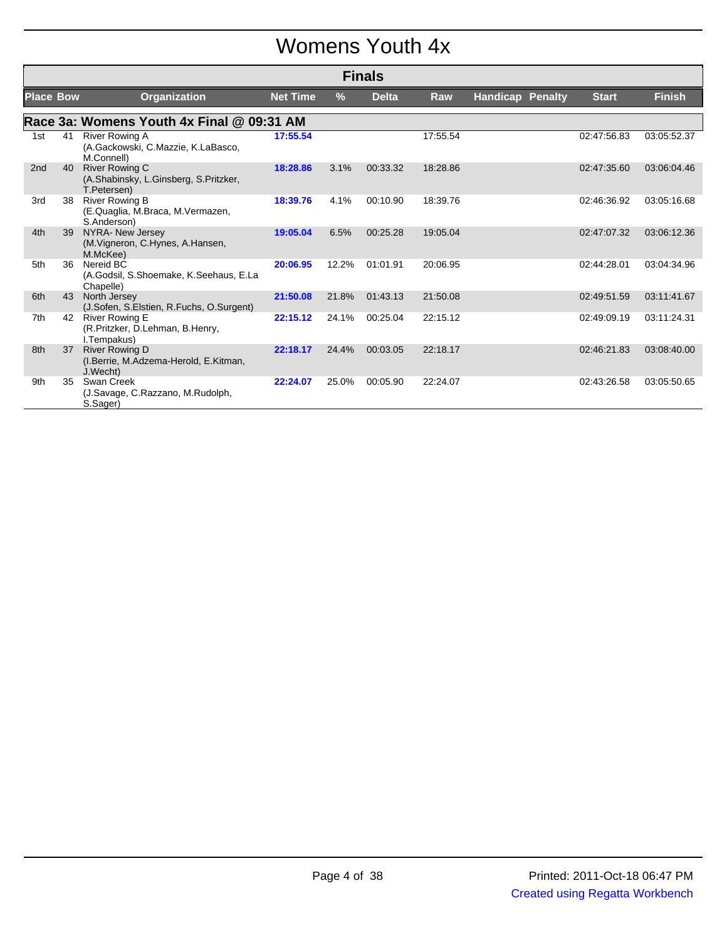### Womens Youth 4x

|                  | <b>Finals</b> |                                                                               |                 |       |              |            |                         |  |              |               |
|------------------|---------------|-------------------------------------------------------------------------------|-----------------|-------|--------------|------------|-------------------------|--|--------------|---------------|
| <b>Place Bow</b> |               | <b>Organization</b>                                                           | <b>Net Time</b> | $\%$  | <b>Delta</b> | <b>Raw</b> | <b>Handicap Penalty</b> |  | <b>Start</b> | <b>Finish</b> |
|                  |               | Race 3a: Womens Youth 4x Final @ 09:31 AM                                     |                 |       |              |            |                         |  |              |               |
| 1st              | 41            | <b>River Rowing A</b><br>(A.Gackowski, C.Mazzie, K.LaBasco,<br>M.Connell)     | 17:55.54        |       |              | 17:55.54   |                         |  | 02:47:56.83  | 03:05:52.37   |
| 2 <sub>nd</sub>  | 40            | <b>River Rowing C</b><br>(A.Shabinsky, L.Ginsberg, S.Pritzker,<br>T.Petersen) | 18:28.86        | 3.1%  | 00:33.32     | 18:28.86   |                         |  | 02:47:35.60  | 03:06:04.46   |
| 3rd              | 38            | <b>River Rowing B</b><br>(E.Quaglia, M.Braca, M.Vermazen,<br>S.Anderson)      | 18:39.76        | 4.1%  | 00:10.90     | 18:39.76   |                         |  | 02:46:36.92  | 03:05:16.68   |
| 4th              | 39            | NYRA- New Jersey<br>(M. Vigneron, C. Hynes, A. Hansen,<br>M.McKee)            | 19:05.04        | 6.5%  | 00:25.28     | 19:05.04   |                         |  | 02:47:07.32  | 03:06:12.36   |
| 5th              | 36            | Nereid BC<br>(A.Godsil, S.Shoemake, K.Seehaus, E.La<br>Chapelle)              | 20:06.95        | 12.2% | 01:01.91     | 20:06.95   |                         |  | 02:44:28.01  | 03:04:34.96   |
| 6th              | 43            | North Jersey<br>(J.Sofen, S.Elstien, R.Fuchs, O.Surgent)                      | 21:50.08        | 21.8% | 01:43.13     | 21:50.08   |                         |  | 02:49:51.59  | 03:11:41.67   |
| 7th              | 42            | River Rowing E<br>(R.Pritzker, D.Lehman, B.Henry,<br>I.Tempakus)              | 22:15.12        | 24.1% | 00:25.04     | 22:15.12   |                         |  | 02:49:09.19  | 03:11:24.31   |
| 8th              | 37            | <b>River Rowing D</b><br>(I.Berrie, M.Adzema-Herold, E.Kitman,<br>J.Wecht)    | 22:18.17        | 24.4% | 00:03.05     | 22:18.17   |                         |  | 02:46:21.83  | 03:08:40.00   |
| 9th              | 35            | Swan Creek<br>(J.Savage, C.Razzano, M.Rudolph,<br>S.Sager)                    | 22:24.07        | 25.0% | 00:05.90     | 22:24.07   |                         |  | 02:43:26.58  | 03:05:50.65   |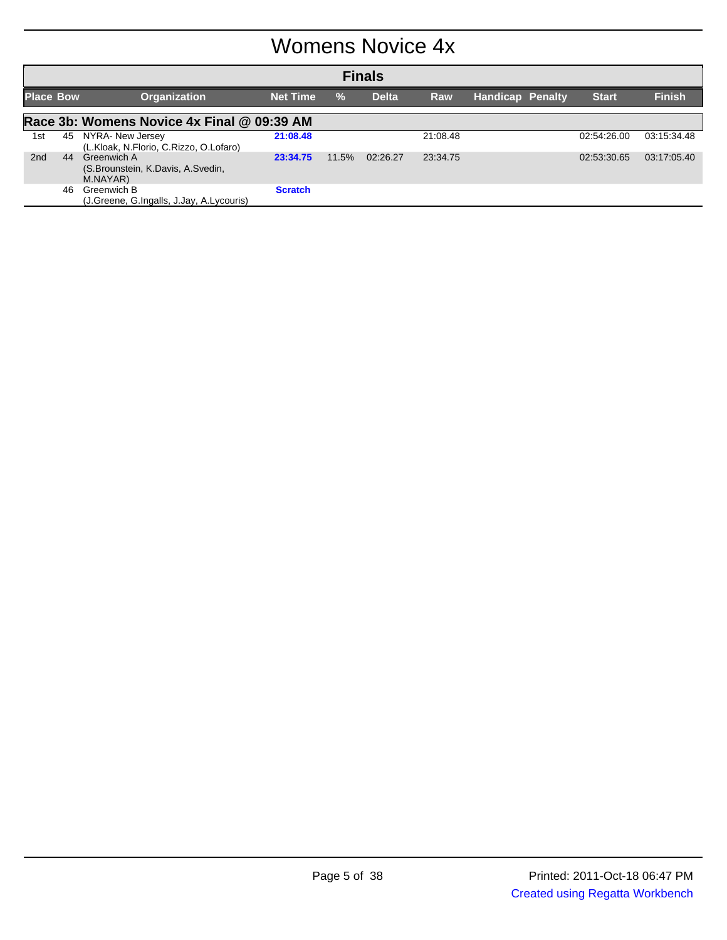#### Womens Novice 4x

|                  | <b>Finals</b> |                                                                 |                 |       |              |          |                         |  |              |               |
|------------------|---------------|-----------------------------------------------------------------|-----------------|-------|--------------|----------|-------------------------|--|--------------|---------------|
| <b>Place Bow</b> |               | <b>Organization</b>                                             | <b>Net Time</b> | $\%$  | <b>Delta</b> | Raw      | <b>Handicap Penalty</b> |  | <b>Start</b> | <b>Finish</b> |
|                  |               | Race 3b: Womens Novice 4x Final @ 09:39 AM                      |                 |       |              |          |                         |  |              |               |
| 1st              | 45            | NYRA- New Jersey<br>(L.Kloak, N.Florio, C.Rizzo, O.Lofaro)      | 21:08.48        |       |              | 21:08.48 |                         |  | 02:54:26.00  | 03:15:34.48   |
| 2 <sub>nd</sub>  | 44            | Greenwich A<br>(S. Brounstein, K. Davis, A. Svedin,<br>M.NAYAR) | 23:34.75        | 11.5% | 02:26.27     | 23:34.75 |                         |  | 02:53:30.65  | 03:17:05.40   |
|                  | 46            | Greenwich B<br>(J.Greene, G.Ingalls, J.Jay, A.Lycouris)         | <b>Scratch</b>  |       |              |          |                         |  |              |               |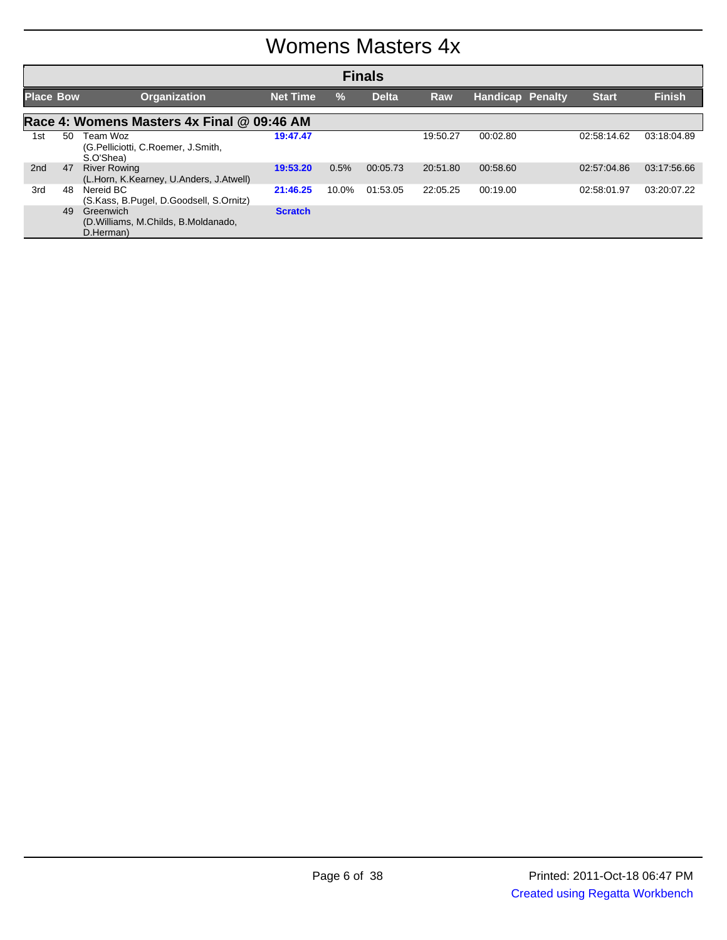#### Womens Masters 4x

| <b>Finals</b>    |                                            |                                                                  |                 |               |              |            |                         |              |               |  |  |  |
|------------------|--------------------------------------------|------------------------------------------------------------------|-----------------|---------------|--------------|------------|-------------------------|--------------|---------------|--|--|--|
| <b>Place Bow</b> |                                            | <b>Organization</b>                                              | <b>Net Time</b> | $\frac{9}{6}$ | <b>Delta</b> | <b>Raw</b> | <b>Handicap Penalty</b> | <b>Start</b> | <b>Finish</b> |  |  |  |
|                  | Race 4: Womens Masters 4x Final @ 09:46 AM |                                                                  |                 |               |              |            |                         |              |               |  |  |  |
| 1st              | 50                                         | Team Woz<br>(G.Pelliciotti, C.Roemer, J.Smith,<br>S.O'Shea)      | 19:47.47        |               |              | 19:50.27   | 00:02.80                | 02:58:14.62  | 03:18:04.89   |  |  |  |
| 2nd              | 47                                         | <b>River Rowing</b><br>(L.Horn, K.Kearney, U.Anders, J.Atwell)   | 19:53.20        | 0.5%          | 00:05.73     | 20:51.80   | 00:58.60                | 02:57:04.86  | 03:17:56.66   |  |  |  |
| 3rd              | 48                                         | Nereid BC<br>(S.Kass, B.Pugel, D.Goodsell, S.Ornitz)             | 21:46.25        | 10.0%         | 01:53.05     | 22:05.25   | 00:19.00                | 02:58:01.97  | 03:20:07.22   |  |  |  |
|                  | 49                                         | Greenwich<br>(D. Williams, M. Childs, B. Moldanado,<br>D.Herman) | <b>Scratch</b>  |               |              |            |                         |              |               |  |  |  |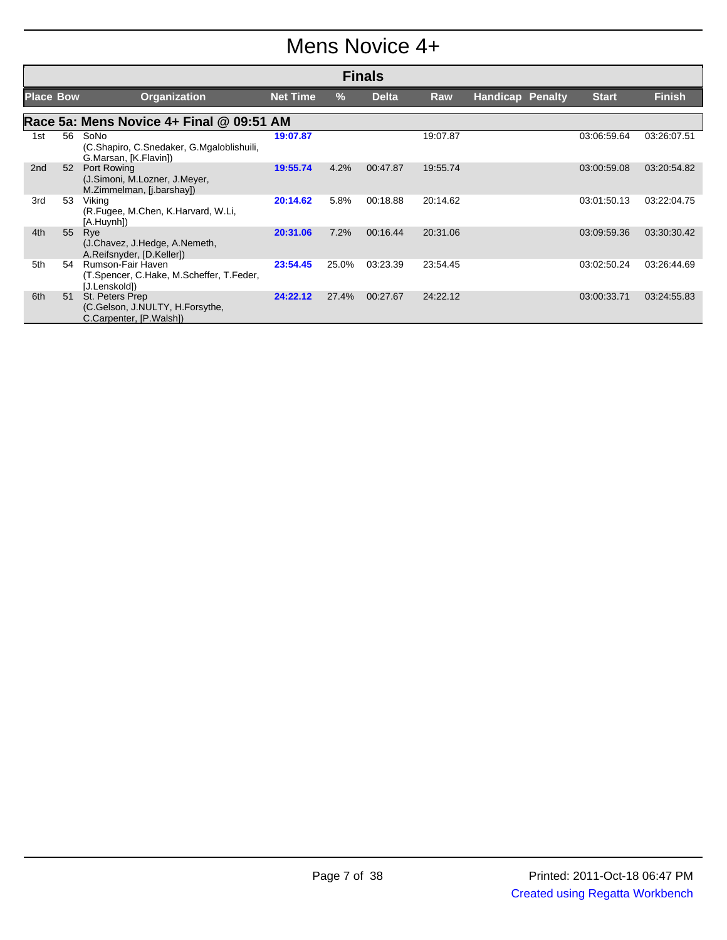#### Mens Novice 4+

|                  | <b>Finals</b> |                                                                                |                 |       |              |          |                         |              |               |  |
|------------------|---------------|--------------------------------------------------------------------------------|-----------------|-------|--------------|----------|-------------------------|--------------|---------------|--|
| <b>Place Bow</b> |               | <b>Organization</b>                                                            | <b>Net Time</b> | %     | <b>Delta</b> | Raw      | <b>Handicap Penalty</b> | <b>Start</b> | <b>Finish</b> |  |
|                  |               | Race 5a: Mens Novice 4+ Final @ 09:51 AM                                       |                 |       |              |          |                         |              |               |  |
| 1st              | 56            | SoNo<br>(C.Shapiro, C.Snedaker, G.Mgaloblishuili,<br>G.Marsan, [K.Flavin])     | 19:07.87        |       |              | 19:07.87 |                         | 03:06:59.64  | 03:26:07.51   |  |
| 2 <sub>nd</sub>  | 52            | Port Rowing<br>(J.Simoni, M.Lozner, J.Meyer,<br>M.Zimmelman, [j.barshay])      | 19:55.74        | 4.2%  | 00:47.87     | 19:55.74 |                         | 03:00:59.08  | 03:20:54.82   |  |
| 3rd              | 53            | Viking<br>(R.Fugee, M.Chen, K.Harvard, W.Li,<br>[A.Huynh])                     | 20:14.62        | 5.8%  | 00:18.88     | 20:14.62 |                         | 03:01:50.13  | 03:22:04.75   |  |
| 4th              | 55            | Rye<br>(J.Chavez, J.Hedge, A.Nemeth,<br>A.Reifsnyder, [D.Keller])              | 20:31.06        | 7.2%  | 00:16.44     | 20:31.06 |                         | 03:09:59.36  | 03:30:30.42   |  |
| 5th              | 54            | Rumson-Fair Haven<br>(T.Spencer, C.Hake, M.Scheffer, T.Feder,<br>[J.Lenskold]) | 23:54.45        | 25.0% | 03:23.39     | 23:54.45 |                         | 03:02:50.24  | 03:26:44.69   |  |
| 6th              | 51            | St. Peters Prep<br>(C.Gelson, J.NULTY, H.Forsythe,<br>C.Carpenter, [P.Walsh])  | 24:22.12        | 27.4% | 00:27.67     | 24:22.12 |                         | 03:00:33.71  | 03:24:55.83   |  |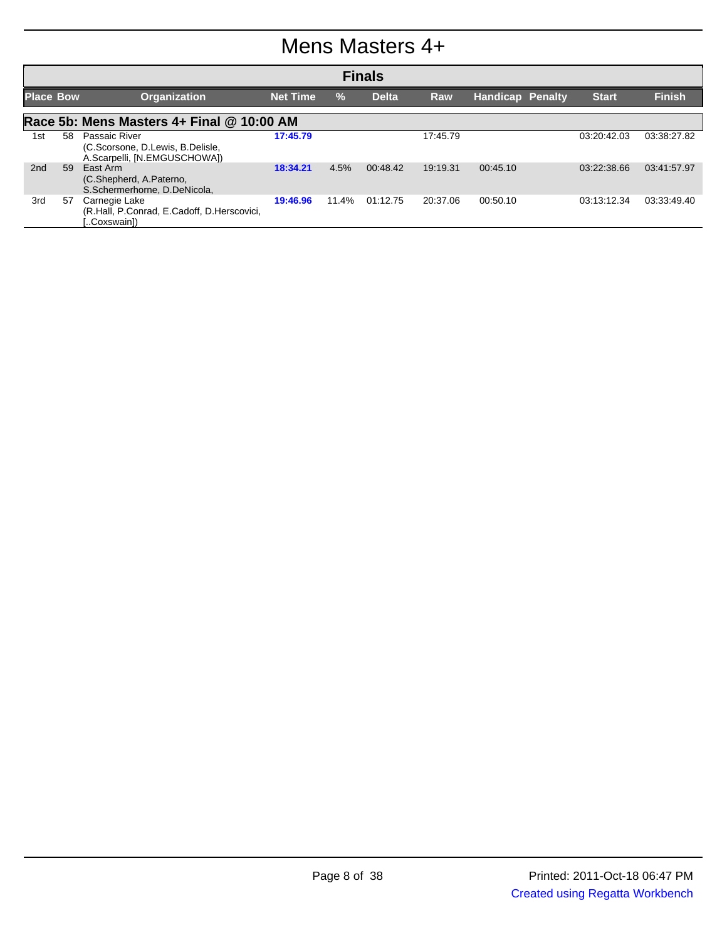#### Mens Masters 4+

|                  | <b>Finals</b> |                                                                                          |                 |               |              |            |                         |              |               |  |
|------------------|---------------|------------------------------------------------------------------------------------------|-----------------|---------------|--------------|------------|-------------------------|--------------|---------------|--|
| <b>Place Bow</b> |               | <b>Organization</b>                                                                      | <b>Net Time</b> | $\frac{9}{6}$ | <b>Delta</b> | <b>Raw</b> | <b>Handicap Penalty</b> | <b>Start</b> | <b>Finish</b> |  |
|                  |               | Race 5b: Mens Masters 4+ Final @ 10:00 AM                                                |                 |               |              |            |                         |              |               |  |
| 1st              | 58.           | <b>Passaic River</b><br>(C.Scorsone, D.Lewis, B.Delisle,<br>A.Scarpelli, [N.EMGUSCHOWA]) | 17:45.79        |               |              | 17:45.79   |                         | 03:20:42.03  | 03:38:27.82   |  |
| 2nd              | 59            | East Arm<br>(C.Shepherd, A.Paterno,<br>S.Schermerhorne, D.DeNicola,                      | 18:34.21        | 4.5%          | 00:48.42     | 19:19.31   | 00:45.10                | 03:22:38.66  | 03:41:57.97   |  |
| 3rd              | 57            | Carnegie Lake<br>(R.Hall, P.Conrad, E.Cadoff, D.Herscovici,<br>Coxswain1)                | 19:46.96        | 11.4%         | 01:12.75     | 20:37.06   | 00:50.10                | 03:13:12.34  | 03:33:49.40   |  |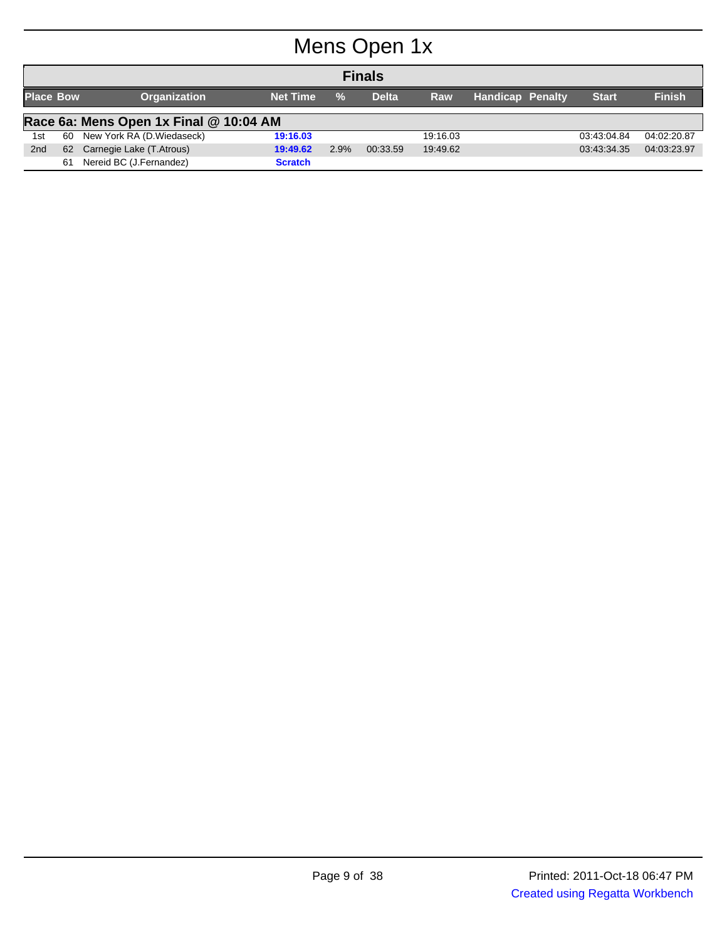# Mens Open 1x

|                  | <b>Finals</b> |                                        |                 |               |              |            |                         |              |               |  |  |  |
|------------------|---------------|----------------------------------------|-----------------|---------------|--------------|------------|-------------------------|--------------|---------------|--|--|--|
| <b>Place Bow</b> |               | <b>Organization</b>                    | <b>Net Time</b> | $\frac{9}{6}$ | <b>Delta</b> | <b>Raw</b> | <b>Handicap Penalty</b> | <b>Start</b> | <b>Finish</b> |  |  |  |
|                  |               | Race 6a: Mens Open 1x Final @ 10:04 AM |                 |               |              |            |                         |              |               |  |  |  |
| 1st              | 60            | New York RA (D. Wiedaseck)             | 19:16.03        |               |              | 19:16.03   |                         | 03:43:04.84  | 04:02:20.87   |  |  |  |
| 2 <sub>nd</sub>  | 62            | Carnegie Lake (T.Atrous)               | 19:49.62        | 2.9%          | 00:33.59     | 19:49.62   |                         | 03:43:34.35  | 04:03:23.97   |  |  |  |
|                  | 61            | Nereid BC (J.Fernandez)                | <b>Scratch</b>  |               |              |            |                         |              |               |  |  |  |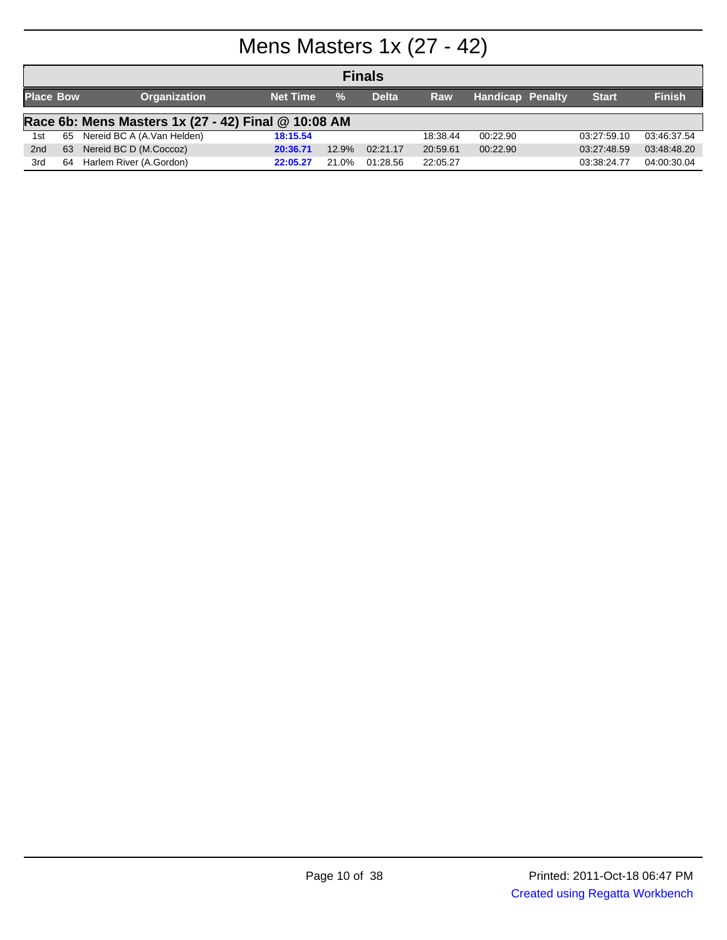# Mens Masters 1x (27 - 42)

|                  | <b>Finals</b>                                       |                            |                 |               |              |            |                         |              |               |  |  |  |
|------------------|-----------------------------------------------------|----------------------------|-----------------|---------------|--------------|------------|-------------------------|--------------|---------------|--|--|--|
| <b>Place Bow</b> |                                                     | <b>Organization</b>        | <b>Net Time</b> | $\frac{9}{6}$ | <b>Delta</b> | <b>Raw</b> | <b>Handicap Penalty</b> | <b>Start</b> | <b>Finish</b> |  |  |  |
|                  | Race 6b: Mens Masters 1x (27 - 42) Final @ 10:08 AM |                            |                 |               |              |            |                         |              |               |  |  |  |
| 1st              | 65                                                  | Nereid BC A (A.Van Helden) | 18:15.54        |               |              | 18:38.44   | 00:22.90                | 03:27:59.10  | 03:46:37.54   |  |  |  |
| 2 <sub>nd</sub>  | 63                                                  | Nereid BC D (M.Coccoz)     | 20:36.71        | 12.9%         | 02:21.17     | 20:59.61   | 00:22.90                | 03:27:48.59  | 03:48:48.20   |  |  |  |
| 3rd              | 64                                                  | Harlem River (A.Gordon)    | 22:05.27        | 21.0%         | 01:28.56     | 22:05.27   |                         | 03:38:24.77  | 04:00:30.04   |  |  |  |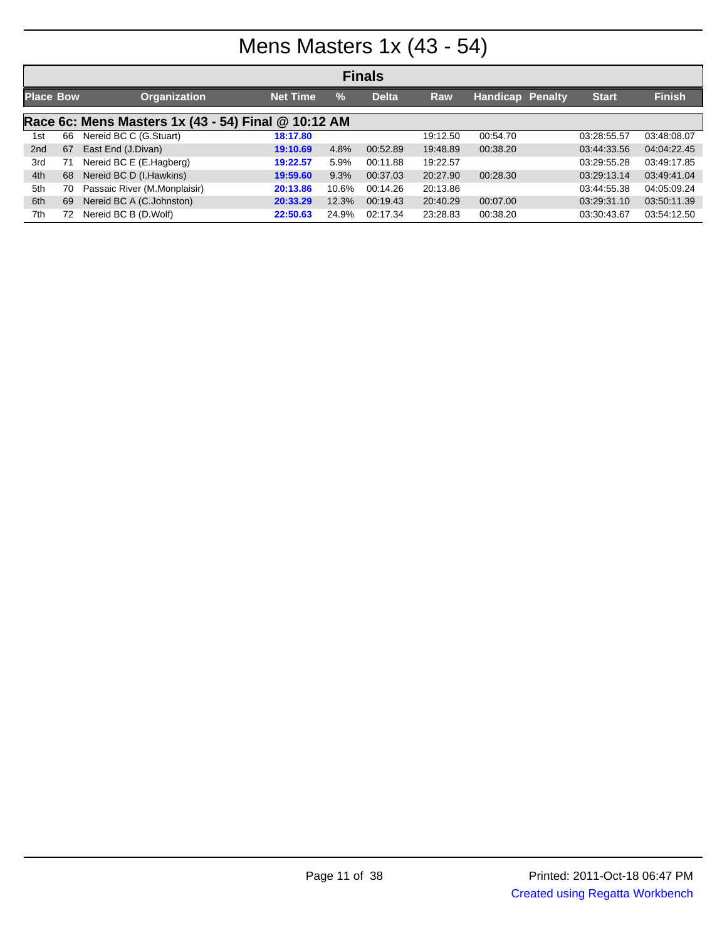# Mens Masters 1x (43 - 54)

| <b>Finals</b>    |    |                                                     |                 |               |              |          |                         |  |              |               |
|------------------|----|-----------------------------------------------------|-----------------|---------------|--------------|----------|-------------------------|--|--------------|---------------|
| <b>Place Bow</b> |    | <b>Organization</b>                                 | <b>Net Time</b> | $\frac{0}{2}$ | <b>Delta</b> | Raw      | <b>Handicap Penalty</b> |  | <b>Start</b> | <b>Finish</b> |
|                  |    | Race 6c: Mens Masters 1x (43 - 54) Final @ 10:12 AM |                 |               |              |          |                         |  |              |               |
| 1st              | 66 | Nereid BC C (G.Stuart)                              | 18:17.80        |               |              | 19:12.50 | 00:54.70                |  | 03:28:55.57  | 03:48:08.07   |
| 2 <sub>nd</sub>  | 67 | East End (J.Divan)                                  | 19:10.69        | 4.8%          | 00:52.89     | 19:48.89 | 00:38.20                |  | 03:44:33.56  | 04:04:22.45   |
| 3rd              | 71 | Nereid BC E (E.Hagberg)                             | 19:22.57        | 5.9%          | 00:11.88     | 19:22.57 |                         |  | 03:29:55.28  | 03:49:17.85   |
| 4th              | 68 | Nereid BC D (I.Hawkins)                             | 19:59.60        | 9.3%          | 00:37.03     | 20:27.90 | 00:28.30                |  | 03:29:13.14  | 03:49:41.04   |
| 5th              | 70 | Passaic River (M.Monplaisir)                        | 20:13.86        | 10.6%         | 00:14.26     | 20:13.86 |                         |  | 03:44:55.38  | 04:05:09.24   |
| 6th              | 69 | Nereid BC A (C.Johnston)                            | 20:33.29        | 12.3%         | 00:19.43     | 20:40.29 | 00:07.00                |  | 03:29:31.10  | 03:50:11.39   |
| 7th              | 72 | Nereid BC B (D.Wolf)                                | 22:50.63        | 24.9%         | 02:17.34     | 23:28.83 | 00:38.20                |  | 03:30:43.67  | 03:54:12.50   |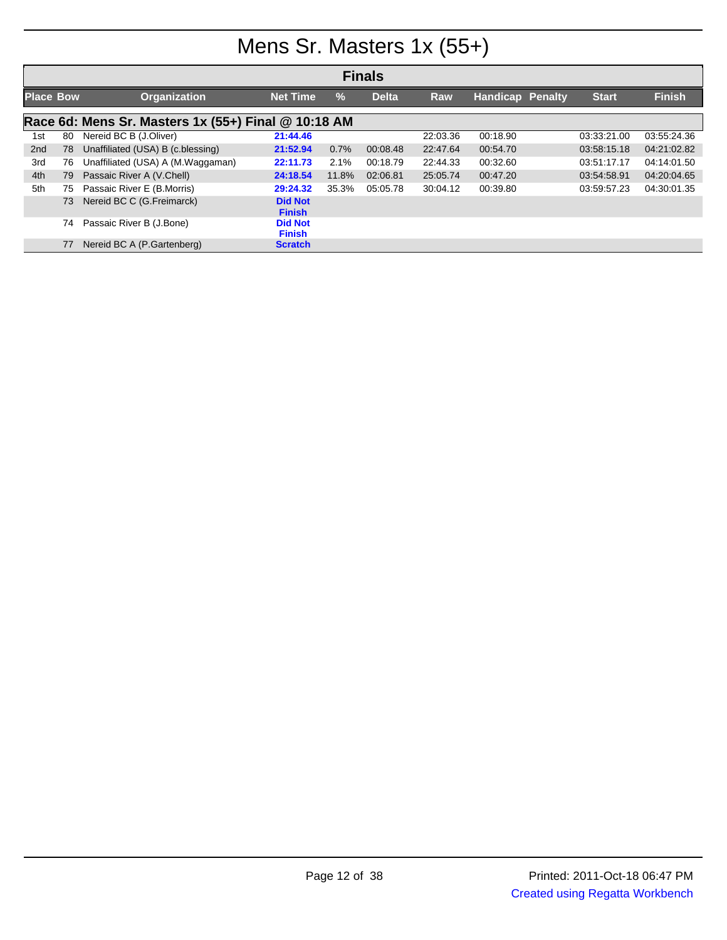# Mens Sr. Masters 1x (55+)

|                  | <b>Finals</b> |                                                     |                                 |               |              |            |                         |              |               |  |  |
|------------------|---------------|-----------------------------------------------------|---------------------------------|---------------|--------------|------------|-------------------------|--------------|---------------|--|--|
| <b>Place Bow</b> |               | <b>Organization</b>                                 | <b>Net Time</b>                 | $\frac{9}{6}$ | <b>Delta</b> | <b>Raw</b> | <b>Handicap Penalty</b> | <b>Start</b> | <b>Finish</b> |  |  |
|                  |               | Race 6d: Mens Sr. Masters 1x (55+) Final @ 10:18 AM |                                 |               |              |            |                         |              |               |  |  |
| 1st              | 80            | Nereid BC B (J.Oliver)                              | 21:44.46                        |               |              | 22:03.36   | 00:18.90                | 03:33:21.00  | 03:55:24.36   |  |  |
| 2 <sub>nd</sub>  | 78            | Unaffiliated (USA) B (c.blessing)                   | 21:52.94                        | 0.7%          | 00:08.48     | 22:47.64   | 00:54.70                | 03:58:15.18  | 04:21:02.82   |  |  |
| 3rd              | 76            | Unaffiliated (USA) A (M.Waggaman)                   | 22:11.73                        | 2.1%          | 00:18.79     | 22:44.33   | 00:32.60                | 03:51:17.17  | 04:14:01.50   |  |  |
| 4th              | 79            | Passaic River A (V.Chell)                           | 24:18.54                        | 11.8%         | 02:06.81     | 25:05.74   | 00:47.20                | 03:54:58.91  | 04:20:04.65   |  |  |
| 5th              | 75            | Passaic River E (B.Morris)                          | 29:24.32                        | 35.3%         | 05:05.78     | 30:04.12   | 00:39.80                | 03:59:57.23  | 04:30:01.35   |  |  |
|                  | 73            | Nereid BC C (G.Freimarck)                           | <b>Did Not</b><br><b>Finish</b> |               |              |            |                         |              |               |  |  |
|                  | 74            | Passaic River B (J.Bone)                            | <b>Did Not</b><br><b>Finish</b> |               |              |            |                         |              |               |  |  |
|                  | 77            | Nereid BC A (P.Gartenberg)                          | <b>Scratch</b>                  |               |              |            |                         |              |               |  |  |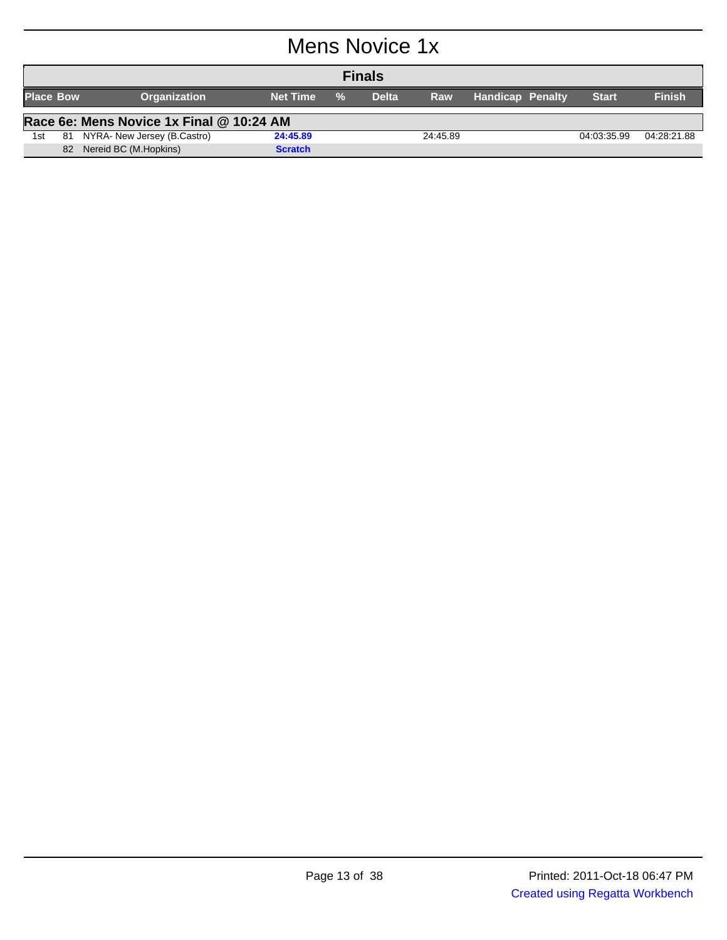### Mens Novice 1x

| <b>Finals</b>    |    |                                          |                 |               |              |            |                         |  |             |               |
|------------------|----|------------------------------------------|-----------------|---------------|--------------|------------|-------------------------|--|-------------|---------------|
| <b>Place Bow</b> |    | <b>Organization</b>                      | <b>Net Time</b> | $\frac{9}{6}$ | <b>Delta</b> | <b>Raw</b> | <b>Handicap Penalty</b> |  | Start       | <b>Finish</b> |
|                  |    | Race 6e: Mens Novice 1x Final @ 10:24 AM |                 |               |              |            |                         |  |             |               |
| 1st              | 81 | NYRA- New Jersey (B.Castro)              | 24:45.89        |               |              | 24:45.89   |                         |  | 04:03:35.99 | 04:28:21.88   |
|                  | 82 | Nereid BC (M.Hopkins)                    | <b>Scratch</b>  |               |              |            |                         |  |             |               |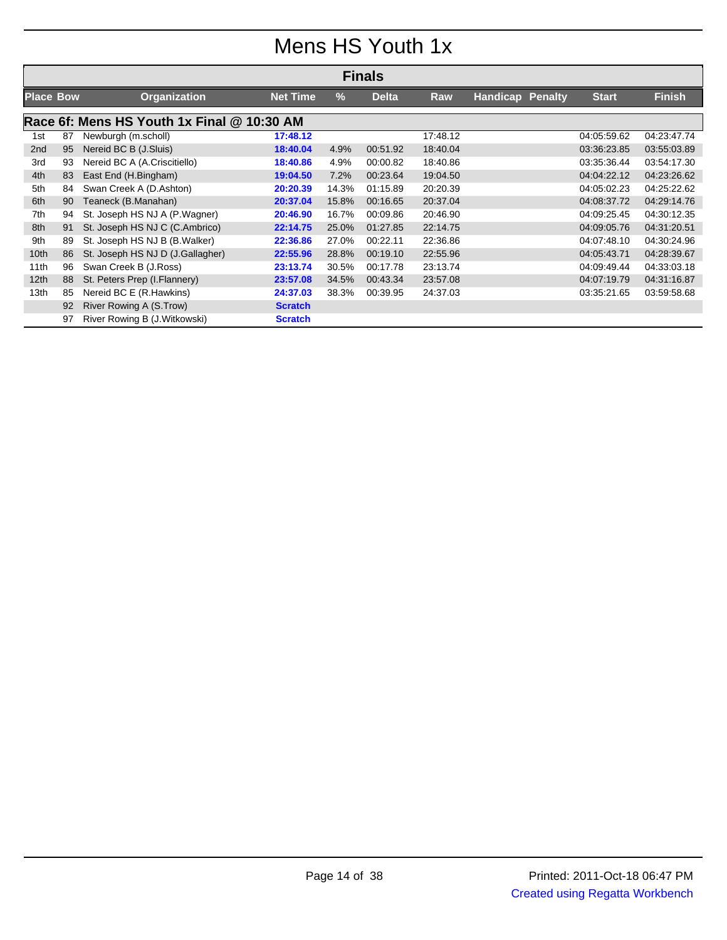### Mens HS Youth 1x

|                  |    |                                            |                 |       | <b>Finals</b> |          |                         |              |               |
|------------------|----|--------------------------------------------|-----------------|-------|---------------|----------|-------------------------|--------------|---------------|
| <b>Place Bow</b> |    | <b>Organization</b>                        | <b>Net Time</b> | %     | <b>Delta</b>  | Raw      | <b>Handicap Penalty</b> | <b>Start</b> | <b>Finish</b> |
|                  |    | Race 6f: Mens HS Youth 1x Final @ 10:30 AM |                 |       |               |          |                         |              |               |
| 1st              | 87 | Newburgh (m.scholl)                        | 17:48.12        |       |               | 17:48.12 |                         | 04:05:59.62  | 04:23:47.74   |
| 2 <sub>nd</sub>  | 95 | Nereid BC B (J.Sluis)                      | 18:40.04        | 4.9%  | 00:51.92      | 18:40.04 |                         | 03:36:23.85  | 03:55:03.89   |
| 3rd              | 93 | Nereid BC A (A.Criscitiello)               | 18:40.86        | 4.9%  | 00:00.82      | 18:40.86 |                         | 03:35:36.44  | 03:54:17.30   |
| 4th              | 83 | East End (H.Bingham)                       | 19:04.50        | 7.2%  | 00:23.64      | 19:04.50 |                         | 04:04:22.12  | 04:23:26.62   |
| 5th              | 84 | Swan Creek A (D.Ashton)                    | 20:20.39        | 14.3% | 01:15.89      | 20:20.39 |                         | 04:05:02.23  | 04:25:22.62   |
| 6th              | 90 | Teaneck (B.Manahan)                        | 20:37.04        | 15.8% | 00:16.65      | 20:37.04 |                         | 04:08:37.72  | 04:29:14.76   |
| 7th              | 94 | St. Joseph HS NJ A (P.Wagner)              | 20:46.90        | 16.7% | 00:09.86      | 20:46.90 |                         | 04:09:25.45  | 04:30:12.35   |
| 8th              | 91 | St. Joseph HS NJ C (C.Ambrico)             | 22:14.75        | 25.0% | 01:27.85      | 22:14.75 |                         | 04:09:05.76  | 04:31:20.51   |
| 9th              | 89 | St. Joseph HS NJ B (B. Walker)             | 22:36.86        | 27.0% | 00:22.11      | 22:36.86 |                         | 04:07:48.10  | 04:30:24.96   |
| 10 <sub>th</sub> | 86 | St. Joseph HS NJ D (J.Gallagher)           | 22:55.96        | 28.8% | 00:19.10      | 22:55.96 |                         | 04:05:43.71  | 04:28:39.67   |
| 11th             | 96 | Swan Creek B (J.Ross)                      | 23:13.74        | 30.5% | 00:17.78      | 23:13.74 |                         | 04:09:49.44  | 04:33:03.18   |
| 12 <sub>th</sub> | 88 | St. Peters Prep (I. Flannery)              | 23:57.08        | 34.5% | 00:43.34      | 23:57.08 |                         | 04:07:19.79  | 04:31:16.87   |
| 13th             | 85 | Nereid BC E (R.Hawkins)                    | 24:37.03        | 38.3% | 00:39.95      | 24:37.03 |                         | 03:35:21.65  | 03:59:58.68   |
|                  | 92 | River Rowing A (S.Trow)                    | <b>Scratch</b>  |       |               |          |                         |              |               |
|                  | 97 | River Rowing B (J.Witkowski)               | <b>Scratch</b>  |       |               |          |                         |              |               |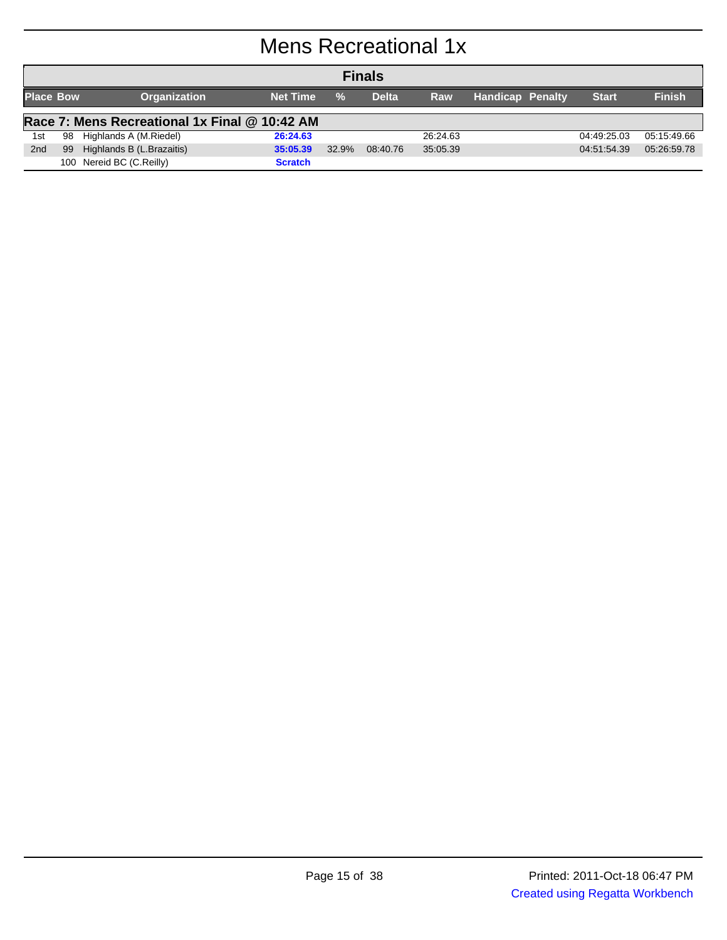# Mens Recreational 1x

|                  | <b>Finals</b>                                 |                           |                 |               |              |            |                  |              |               |  |
|------------------|-----------------------------------------------|---------------------------|-----------------|---------------|--------------|------------|------------------|--------------|---------------|--|
| <b>Place Bow</b> |                                               | <b>Organization</b>       | <b>Net Time</b> | $\frac{0}{2}$ | <b>Delta</b> | <b>Raw</b> | Handicap Penalty | <b>Start</b> | <b>Finish</b> |  |
|                  | Race 7: Mens Recreational 1x Final @ 10:42 AM |                           |                 |               |              |            |                  |              |               |  |
| 1st              | 98                                            | Highlands A (M.Riedel)    | 26:24.63        |               |              | 26:24.63   |                  | 04:49:25.03  | 05:15:49.66   |  |
| 2 <sub>nd</sub>  | 99                                            | Highlands B (L.Brazaitis) | 35:05.39        | 32.9%         | 08:40.76     | 35:05.39   |                  | 04:51:54.39  | 05:26:59.78   |  |
|                  | 100                                           | Nereid BC (C.Reilly)      | <b>Scratch</b>  |               |              |            |                  |              |               |  |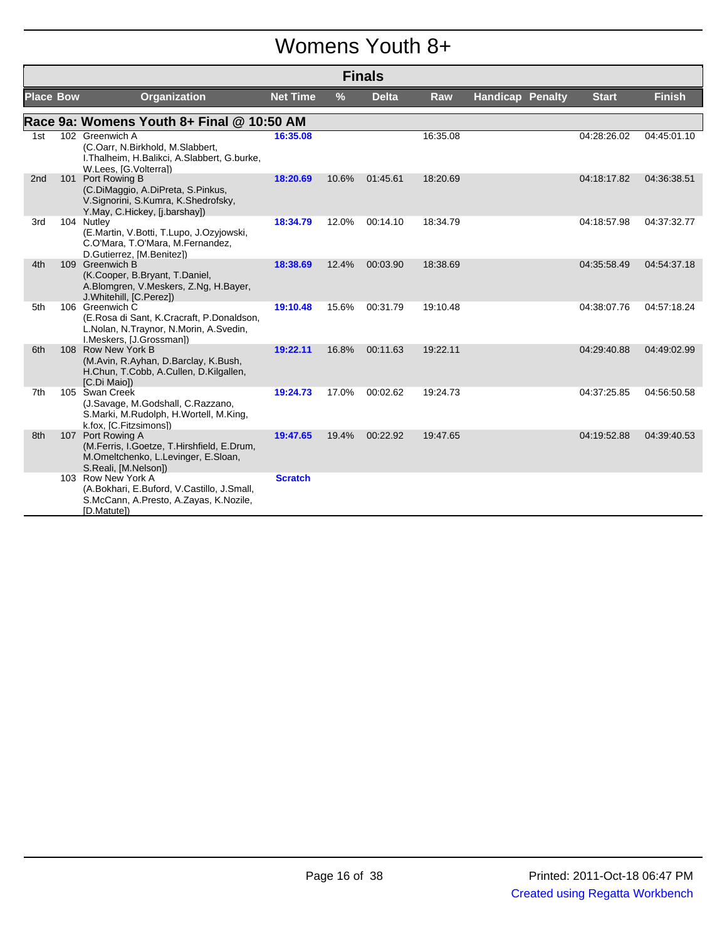### Womens Youth 8+

|                  | <b>Finals</b> |                                                                                                                                    |                 |       |              |            |                         |  |              |               |
|------------------|---------------|------------------------------------------------------------------------------------------------------------------------------------|-----------------|-------|--------------|------------|-------------------------|--|--------------|---------------|
| <b>Place Bow</b> |               | <b>Organization</b>                                                                                                                | <b>Net Time</b> | $\%$  | <b>Delta</b> | <b>Raw</b> | <b>Handicap Penalty</b> |  | <b>Start</b> | <b>Finish</b> |
|                  |               | Race 9a: Womens Youth 8+ Final @ 10:50 AM                                                                                          |                 |       |              |            |                         |  |              |               |
| 1st              |               | 102 Greenwich A<br>(C.Oarr, N.Birkhold, M.Slabbert,<br>I. Thalheim, H. Balikci, A. Slabbert, G. burke,<br>W.Lees, [G.Volterra])    | 16:35.08        |       |              | 16:35.08   |                         |  | 04:28:26.02  | 04:45:01.10   |
| 2 <sub>nd</sub>  |               | 101 Port Rowing B<br>(C.DiMaggio, A.DiPreta, S.Pinkus,<br>V.Signorini, S.Kumra, K.Shedrofsky,<br>Y.May, C.Hickey, [j.barshay])     | 18:20.69        | 10.6% | 01:45.61     | 18:20.69   |                         |  | 04:18:17.82  | 04:36:38.51   |
| 3rd              |               | 104 Nutley<br>(E.Martin, V.Botti, T.Lupo, J.Ozyjowski,<br>C.O'Mara, T.O'Mara, M.Fernandez,<br>D.Gutierrez, [M.Benitez])            | 18:34.79        | 12.0% | 00:14.10     | 18:34.79   |                         |  | 04:18:57.98  | 04:37:32.77   |
| 4th              |               | 109 Greenwich B<br>(K.Cooper, B.Bryant, T.Daniel,<br>A.Blomgren, V.Meskers, Z.Ng, H.Bayer,<br>J. Whitehill, [C. Perez])            | 18:38.69        | 12.4% | 00:03.90     | 18:38.69   |                         |  | 04:35:58.49  | 04:54:37.18   |
| 5th              |               | 106 Greenwich C<br>(E.Rosa di Sant, K.Cracraft, P.Donaldson,<br>L.Nolan, N.Traynor, N.Morin, A.Svedin,<br>I.Meskers, [J.Grossman]) | 19:10.48        | 15.6% | 00:31.79     | 19:10.48   |                         |  | 04:38:07.76  | 04:57:18.24   |
| 6th              |               | 108 Row New York B<br>(M.Avin, R.Ayhan, D.Barclay, K.Bush,<br>H.Chun, T.Cobb, A.Cullen, D.Kilgallen,<br>[C.Di Maio])               | 19:22.11        | 16.8% | 00:11.63     | 19:22.11   |                         |  | 04:29:40.88  | 04:49:02.99   |
| 7th              |               | 105 Swan Creek<br>(J.Savage, M.Godshall, C.Razzano,<br>S.Marki, M.Rudolph, H.Wortell, M.King,<br>k.fox, [C.Fitzsimons])            | 19:24.73        | 17.0% | 00:02.62     | 19:24.73   |                         |  | 04:37:25.85  | 04:56:50.58   |
| 8th              |               | 107 Port Rowing A<br>(M.Ferris, I.Goetze, T.Hirshfield, E.Drum,<br>M.Omeltchenko, L.Levinger, E.Sloan,<br>S.Reali, [M.Nelson])     | 19:47.65        | 19.4% | 00:22.92     | 19:47.65   |                         |  | 04:19:52.88  | 04:39:40.53   |
|                  |               | 103 Row New York A<br>(A.Bokhari, E.Buford, V.Castillo, J.Small,<br>S.McCann, A.Presto, A.Zayas, K.Nozile,<br>[D.Matute])          | <b>Scratch</b>  |       |              |            |                         |  |              |               |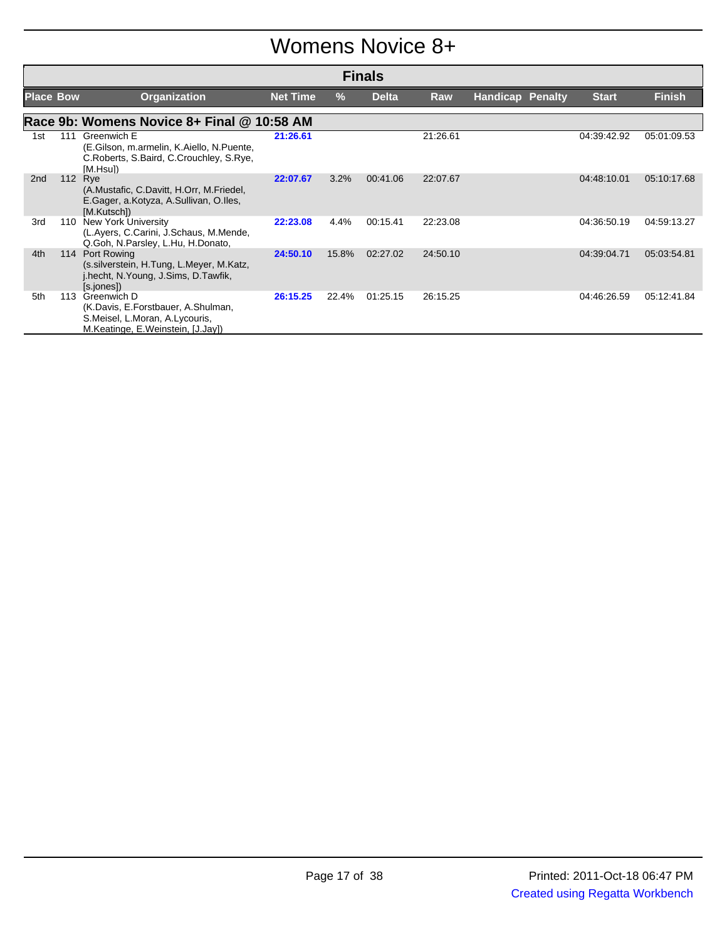### Womens Novice 8+

|                  | <b>Finals</b> |                                                                                                                          |                 |               |              |          |                         |              |               |  |
|------------------|---------------|--------------------------------------------------------------------------------------------------------------------------|-----------------|---------------|--------------|----------|-------------------------|--------------|---------------|--|
| <b>Place Bow</b> |               | <b>Organization</b>                                                                                                      | <b>Net Time</b> | $\frac{9}{6}$ | <b>Delta</b> | Raw      | <b>Handicap Penalty</b> | <b>Start</b> | <b>Finish</b> |  |
|                  |               | Race 9b: Womens Novice 8+ Final @ 10:58 AM                                                                               |                 |               |              |          |                         |              |               |  |
| 1st              | 111           | Greenwich E<br>(E.Gilson, m.armelin, K.Aiello, N.Puente,<br>C.Roberts, S.Baird, C.Crouchley, S.Rye,<br>[M.Hsu])          | 21:26.61        |               |              | 21:26.61 |                         | 04:39:42.92  | 05:01:09.53   |  |
| 2 <sub>nd</sub>  |               | 112 Rye<br>(A.Mustafic, C.Davitt, H.Orr, M.Friedel,<br>E.Gager, a.Kotyza, A.Sullivan, O.Iles,<br>[M.Kutsch])             | 22:07.67        | 3.2%          | 00:41.06     | 22:07.67 |                         | 04:48:10.01  | 05:10:17.68   |  |
| 3rd              | 110           | <b>New York University</b><br>(L.Ayers, C.Carini, J.Schaus, M.Mende,<br>Q.Goh, N.Parsley, L.Hu, H.Donato,                | 22:23.08        | 4.4%          | 00:15.41     | 22:23.08 |                         | 04:36:50.19  | 04:59:13.27   |  |
| 4th              | 114           | Port Rowing<br>(s. silverstein, H. Tung, L. Meyer, M. Katz,<br>j.hecht, N.Young, J.Sims, D.Tawfik,<br>[s.jones])         | 24:50.10        | 15.8%         | 02:27.02     | 24:50.10 |                         | 04:39:04.71  | 05:03:54.81   |  |
| 5th              | 113           | Greenwich D<br>(K.Davis, E.Forstbauer, A.Shulman,<br>S.Meisel, L.Moran, A.Lycouris,<br>M.Keatinge, E.Weinstein, [J.Jay]) | 26:15.25        | 22.4%         | 01:25.15     | 26:15.25 |                         | 04:46:26.59  | 05:12:41.84   |  |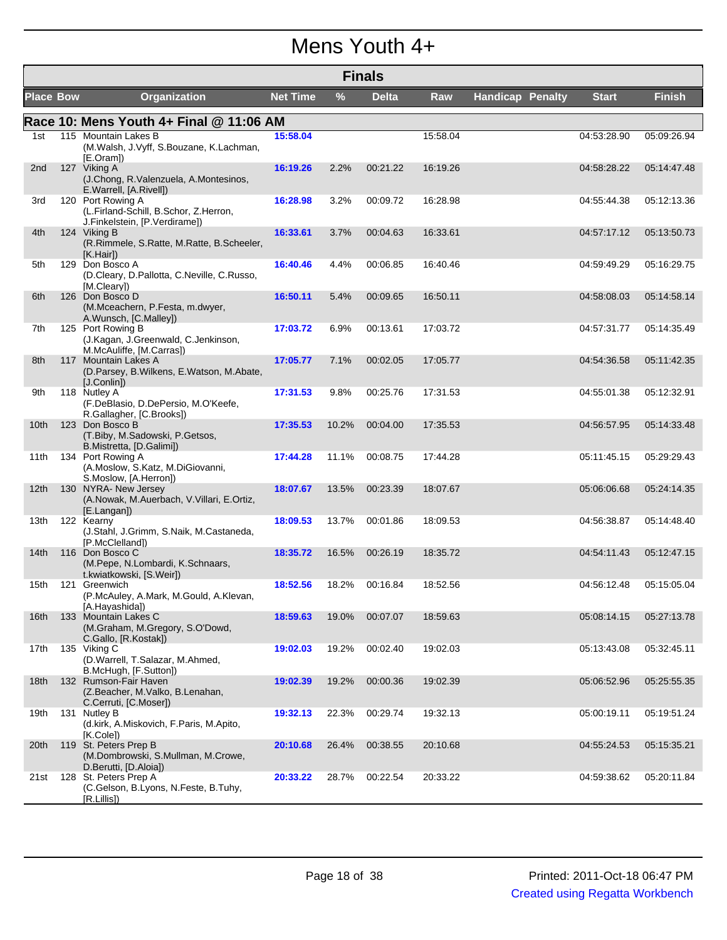### Mens Youth 4+

|                  | <b>Finals</b> |                                                                                             |                 |       |              |          |                         |              |               |  |
|------------------|---------------|---------------------------------------------------------------------------------------------|-----------------|-------|--------------|----------|-------------------------|--------------|---------------|--|
| <b>Place Bow</b> |               | <b>Organization</b>                                                                         | <b>Net Time</b> | %     | <b>Delta</b> | Raw      | <b>Handicap Penalty</b> | <b>Start</b> | <b>Finish</b> |  |
|                  |               | Race 10: Mens Youth 4+ Final @ 11:06 AM                                                     |                 |       |              |          |                         |              |               |  |
| 1st              |               | 115 Mountain Lakes B<br>(M.Walsh, J.Vyff, S.Bouzane, K.Lachman,<br>[E.Oram])                | 15:58.04        |       |              | 15:58.04 |                         | 04:53:28.90  | 05:09:26.94   |  |
| 2nd              |               | 127 Viking A<br>(J.Chong, R.Valenzuela, A.Montesinos,<br>E.Warrell, [A.Rivell])             | 16:19.26        | 2.2%  | 00:21.22     | 16:19.26 |                         | 04:58:28.22  | 05:14:47.48   |  |
| 3rd              |               | 120 Port Rowing A<br>(L.Firland-Schill, B.Schor, Z.Herron,<br>J.Finkelstein, [P.Verdirame]) | 16:28.98        | 3.2%  | 00:09.72     | 16:28.98 |                         | 04:55:44.38  | 05:12:13.36   |  |
| 4th              |               | 124 Viking B<br>(R.Rimmele, S.Ratte, M.Ratte, B.Scheeler,<br>[K.Hair]                       | 16:33.61        | 3.7%  | 00:04.63     | 16:33.61 |                         | 04:57:17.12  | 05:13:50.73   |  |
| 5th              |               | 129 Don Bosco A<br>(D.Cleary, D.Pallotta, C.Neville, C.Russo,<br>[M.Cleary])                | 16:40.46        | 4.4%  | 00:06.85     | 16:40.46 |                         | 04:59:49.29  | 05:16:29.75   |  |
| 6th              |               | 126 Don Bosco D<br>(M.Mceachern, P.Festa, m.dwyer,<br>A.Wunsch, [C.Malley])                 | 16:50.11        | 5.4%  | 00:09.65     | 16:50.11 |                         | 04:58:08.03  | 05:14:58.14   |  |
| 7th              |               | 125 Port Rowing B<br>(J.Kagan, J.Greenwald, C.Jenkinson,<br>M.McAuliffe, [M.Carras])        | 17:03.72        | 6.9%  | 00:13.61     | 17:03.72 |                         | 04:57:31.77  | 05:14:35.49   |  |
| 8th              |               | 117 Mountain Lakes A<br>(D.Parsey, B.Wilkens, E.Watson, M.Abate,<br>[J.Conlin])             | 17:05.77        | 7.1%  | 00:02.05     | 17:05.77 |                         | 04:54:36.58  | 05:11:42.35   |  |
| 9th              |               | 118 Nutley A<br>(F.DeBlasio, D.DePersio, M.O'Keefe,<br>R.Gallagher, [C.Brooks])             | 17:31.53        | 9.8%  | 00:25.76     | 17:31.53 |                         | 04:55:01.38  | 05:12:32.91   |  |
| 10th             |               | 123 Don Bosco B<br>(T.Biby, M.Sadowski, P.Getsos,<br>B.Mistretta, [D.Galimi])               | 17:35.53        | 10.2% | 00:04.00     | 17:35.53 |                         | 04:56:57.95  | 05:14:33.48   |  |
| 11th             |               | 134 Port Rowing A<br>(A.Moslow, S.Katz, M.DiGiovanni,<br>S.Moslow, [A.Herron])              | 17:44.28        | 11.1% | 00:08.75     | 17:44.28 |                         | 05:11:45.15  | 05:29:29.43   |  |
| 12th             |               | 130 NYRA- New Jersey<br>(A.Nowak, M.Auerbach, V.Villari, E.Ortiz,<br>[E.Langan])            | 18:07.67        | 13.5% | 00:23.39     | 18:07.67 |                         | 05:06:06.68  | 05:24:14.35   |  |
| 13th             |               | 122 Kearny<br>(J.Stahl, J.Grimm, S.Naik, M.Castaneda,<br>[P.McClelland])                    | 18:09.53        | 13.7% | 00:01.86     | 18:09.53 |                         | 04:56:38.87  | 05:14:48.40   |  |
| 14th             |               | 116 Don Bosco C<br>(M.Pepe, N.Lombardi, K.Schnaars,<br>t.kwiatkowski, [S.Weir])             | 18:35.72        | 16.5% | 00:26.19     | 18:35.72 |                         | 04:54:11.43  | 05:12:47.15   |  |
| 15th             |               | 121 Greenwich<br>(P.McAuley, A.Mark, M.Gould, A.Klevan,<br>[A.Hayashida])                   | 18:52.56        | 18.2% | 00:16.84     | 18:52.56 |                         | 04:56:12.48  | 05:15:05.04   |  |
| 16th             |               | 133 Mountain Lakes C<br>(M.Graham, M.Gregory, S.O'Dowd,<br>C.Gallo, [R.Kostak])             | 18:59.63        | 19.0% | 00:07.07     | 18:59.63 |                         | 05:08:14.15  | 05:27:13.78   |  |
| 17th             |               | 135 Viking C<br>(D.Warrell, T.Salazar, M.Ahmed,<br>B.McHugh, [F.Sutton])                    | 19:02.03        | 19.2% | 00:02.40     | 19:02.03 |                         | 05:13:43.08  | 05:32:45.11   |  |
| 18th             |               | 132 Rumson-Fair Haven<br>(Z.Beacher, M.Valko, B.Lenahan,<br>C.Cerruti, [C.Moser])           | 19:02.39        | 19.2% | 00:00.36     | 19:02.39 |                         | 05:06:52.96  | 05:25:55.35   |  |
| 19th             |               | 131 Nutley B<br>(d.kirk, A.Miskovich, F.Paris, M.Apito,<br>[K.Cole])                        | 19:32.13        | 22.3% | 00:29.74     | 19:32.13 |                         | 05:00:19.11  | 05:19:51.24   |  |
| 20th             |               | 119 St. Peters Prep B<br>(M.Dombrowski, S.Mullman, M.Crowe,<br>D.Berutti, [D.Aloia])        | 20:10.68        | 26.4% | 00:38.55     | 20:10.68 |                         | 04:55:24.53  | 05:15:35.21   |  |
| 21st             |               | 128 St. Peters Prep A<br>(C.Gelson, B.Lyons, N.Feste, B.Tuhy,<br>[R.Lillis]                 | 20:33.22        | 28.7% | 00:22.54     | 20:33.22 |                         | 04:59:38.62  | 05:20:11.84   |  |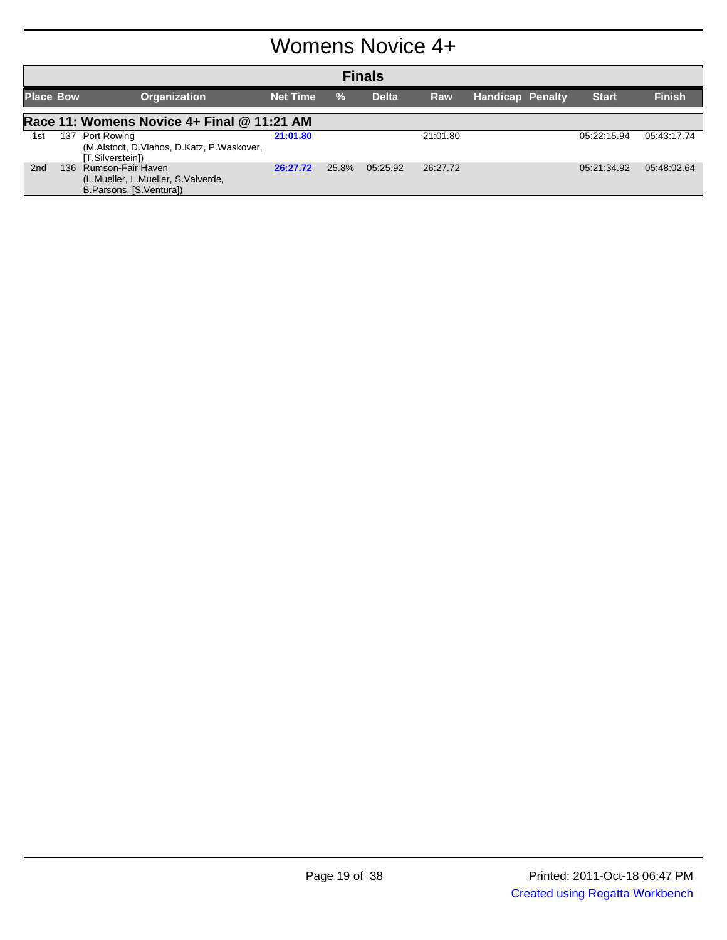### Womens Novice 4+

| <b>Finals</b>    |     |                                                                                        |                 |       |              |          |                         |  |              |               |
|------------------|-----|----------------------------------------------------------------------------------------|-----------------|-------|--------------|----------|-------------------------|--|--------------|---------------|
| <b>Place Bow</b> |     | Organization                                                                           | <b>Net Time</b> | $\%$  | <b>Delta</b> | Raw      | <b>Handicap Penalty</b> |  | <b>Start</b> | <b>Finish</b> |
|                  |     | Race 11: Womens Novice 4+ Final @ 11:21 AM                                             |                 |       |              |          |                         |  |              |               |
| 1st              | 137 | Port Rowing<br>(M.Alstodt, D.Vlahos, D.Katz, P.Waskover,<br>[T.Silverstein])           | 21:01.80        |       |              | 21:01.80 |                         |  | 05:22:15.94  | 05:43:17.74   |
| 2nd              |     | 136 Rumson-Fair Haven<br>(L.Mueller, L.Mueller, S.Valverde,<br>B.Parsons, [S.Ventura]) | 26:27.72        | 25.8% | 05:25.92     | 26:27.72 |                         |  | 05:21:34.92  | 05:48:02.64   |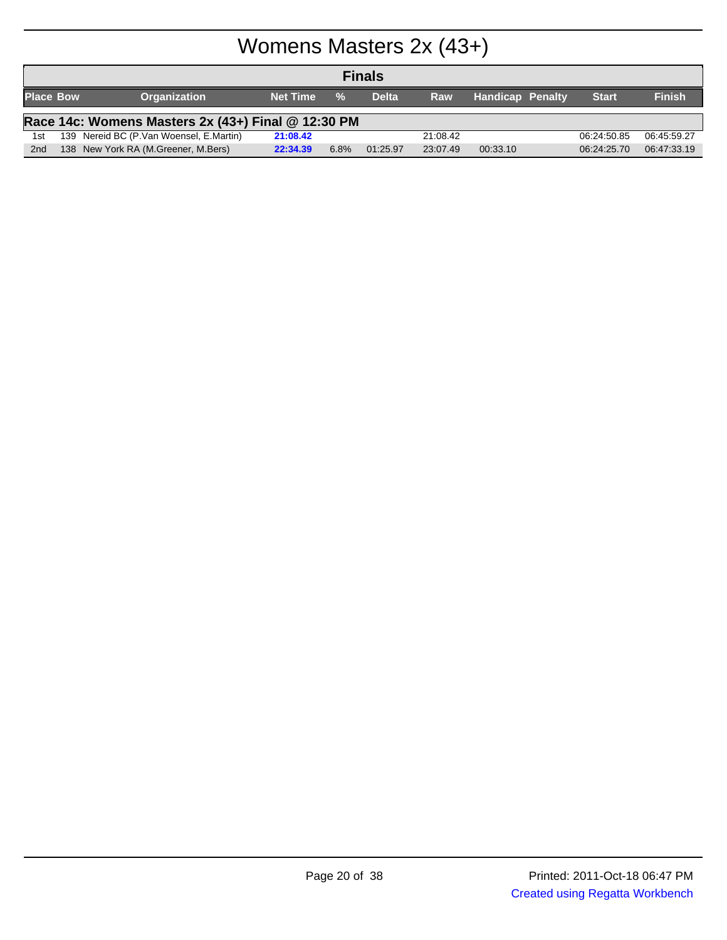# Womens Masters 2x (43+)

|                  | <b>Finals</b> |                                                    |                 |               |              |          |                         |              |               |  |
|------------------|---------------|----------------------------------------------------|-----------------|---------------|--------------|----------|-------------------------|--------------|---------------|--|
| <b>Place Bow</b> |               | <b>Organization</b>                                | <b>Net Time</b> | $\frac{0}{2}$ | <b>Delta</b> | Raw      | <b>Handicap Penalty</b> | <b>Start</b> | <b>Finish</b> |  |
|                  |               | Race 14c: Womens Masters 2x (43+) Final @ 12:30 PM |                 |               |              |          |                         |              |               |  |
| 1st              |               | 139 Nereid BC (P.Van Woensel, E.Martin)            | 21:08.42        |               |              | 21:08.42 |                         | 06:24:50.85  | 06:45:59.27   |  |
| 2 <sub>nd</sub>  |               | 138 New York RA (M.Greener, M.Bers)                | 22:34.39        | 6.8%          | 01:25.97     | 23:07.49 | 00:33.10                | 06:24:25.70  | 06:47:33.19   |  |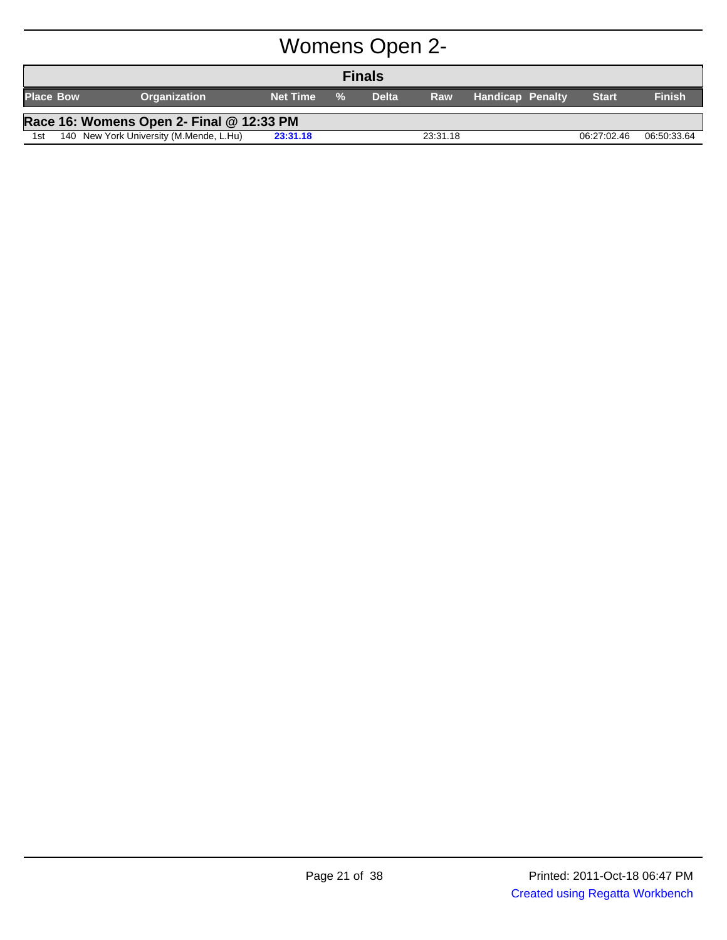# Womens Open 2-

|                  | <b>Finals</b>                            |                                         |                 |               |              |          |                         |              |               |  |  |
|------------------|------------------------------------------|-----------------------------------------|-----------------|---------------|--------------|----------|-------------------------|--------------|---------------|--|--|
| <b>Place Bow</b> |                                          | <b>Organization</b>                     | <b>Net Time</b> | $\frac{0}{2}$ | <b>Delta</b> | Raw      | <b>Handicap Penalty</b> | <b>Start</b> | <b>Finish</b> |  |  |
|                  | Race 16: Womens Open 2- Final @ 12:33 PM |                                         |                 |               |              |          |                         |              |               |  |  |
| 1st              |                                          | 140 New York University (M.Mende, L.Hu) | 23:31.18        |               |              | 23:31.18 |                         | 06:27:02.46  | 06:50:33.64   |  |  |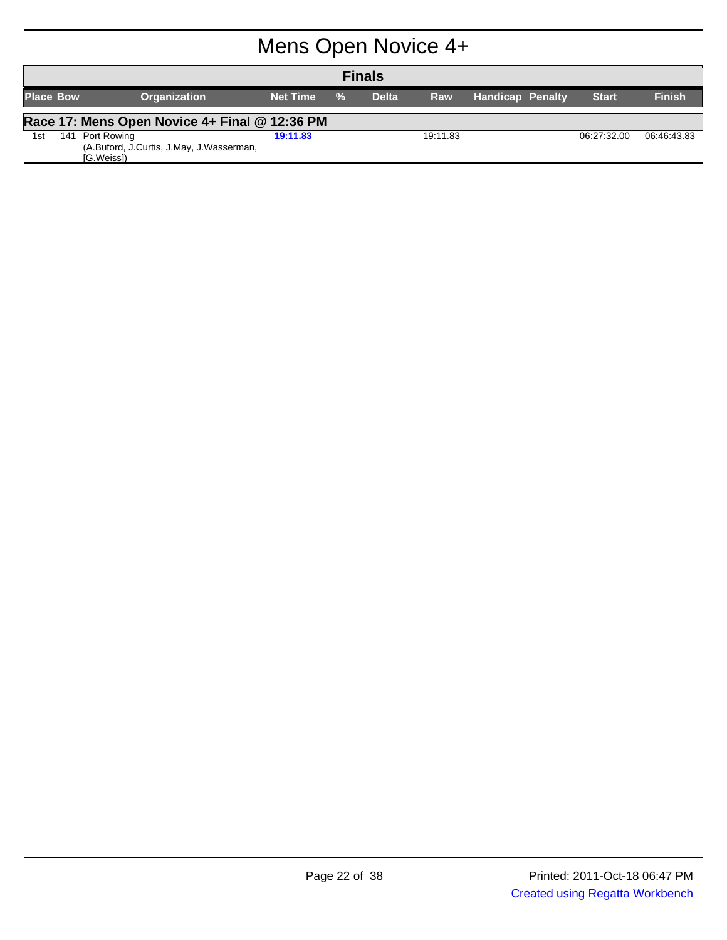# Mens Open Novice 4+

|                  | <b>Finals</b>                                 |                                                                       |                 |      |              |            |                         |              |               |  |  |
|------------------|-----------------------------------------------|-----------------------------------------------------------------------|-----------------|------|--------------|------------|-------------------------|--------------|---------------|--|--|
| <b>Place Bow</b> |                                               | <b>Organization</b>                                                   | <b>Net Time</b> | $\%$ | <b>Delta</b> | <b>Raw</b> | <b>Handicap Penalty</b> | <b>Start</b> | <b>Finish</b> |  |  |
|                  | Race 17: Mens Open Novice 4+ Final @ 12:36 PM |                                                                       |                 |      |              |            |                         |              |               |  |  |
| 1st              | 141                                           | Port Rowing<br>(A.Buford, J.Curtis, J.May, J.Wasserman,<br>[G.Weiss]) | 19:11.83        |      |              | 19:11.83   |                         | 06:27:32.00  | 06:46:43.83   |  |  |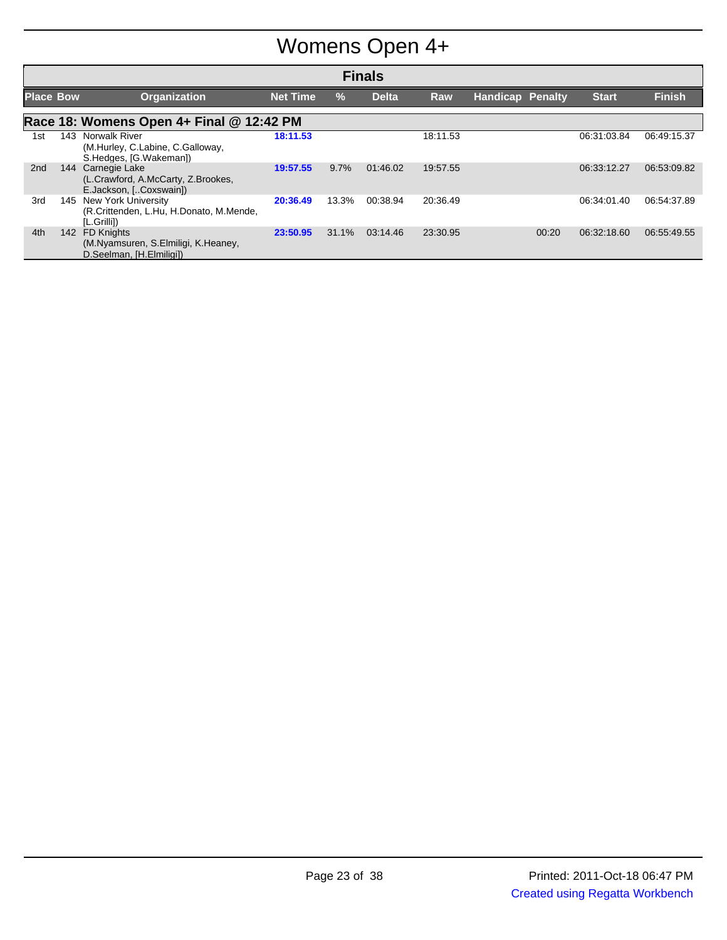# Womens Open 4+

| <b>Finals</b>    |     |                                                                                      |                 |               |              |          |                         |       |              |               |
|------------------|-----|--------------------------------------------------------------------------------------|-----------------|---------------|--------------|----------|-------------------------|-------|--------------|---------------|
| <b>Place Bow</b> |     | <b>Organization</b>                                                                  | <b>Net Time</b> | $\frac{9}{6}$ | <b>Delta</b> | Raw      | <b>Handicap Penalty</b> |       | <b>Start</b> | <b>Finish</b> |
|                  |     | Race 18: Womens Open 4+ Final @ 12:42 PM                                             |                 |               |              |          |                         |       |              |               |
| 1st              | 143 | Norwalk River<br>(M.Hurley, C.Labine, C.Galloway,<br>S.Hedges, [G.Wakeman])          | 18:11.53        |               |              | 18:11.53 |                         |       | 06:31:03.84  | 06:49:15.37   |
| 2 <sub>nd</sub>  | 144 | Carnegie Lake<br>(L.Crawford, A.McCarty, Z.Brookes,<br>E.Jackson, [Coxswain])        | 19:57.55        | 9.7%          | 01:46.02     | 19:57.55 |                         |       | 06:33:12.27  | 06:53:09.82   |
| 3rd              | 145 | New York University<br>(R.Crittenden, L.Hu, H.Donato, M.Mende,<br>[L.Grilli])        | 20:36.49        | 13.3%         | 00:38.94     | 20:36.49 |                         |       | 06:34:01.40  | 06:54:37.89   |
| 4th              | 142 | <b>FD Knights</b><br>(M.Nyamsuren, S.Elmiligi, K.Heaney,<br>D.Seelman, [H.Elmiligi]) | 23:50.95        | 31.1%         | 03:14.46     | 23:30.95 |                         | 00:20 | 06:32:18.60  | 06:55:49.55   |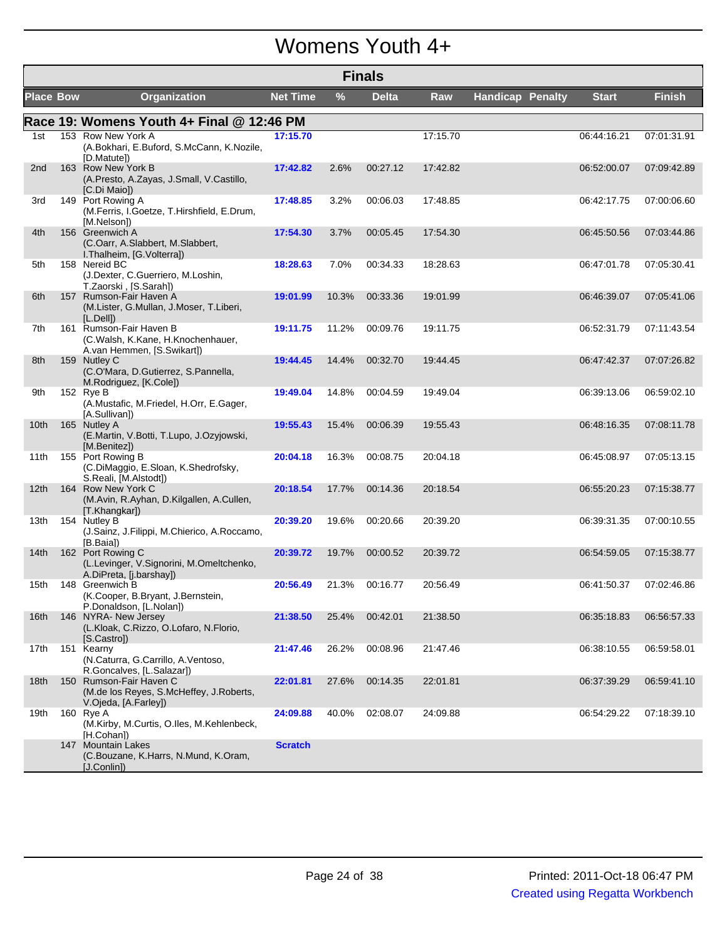#### Womens Youth 4+

|                  | <b>Finals</b> |                                                                                            |                 |       |          |          |                         |              |               |  |
|------------------|---------------|--------------------------------------------------------------------------------------------|-----------------|-------|----------|----------|-------------------------|--------------|---------------|--|
| <b>Place Bow</b> |               | <b>Organization</b>                                                                        | <b>Net Time</b> | $\%$  | Delta    | Raw      | <b>Handicap Penalty</b> | <b>Start</b> | <b>Finish</b> |  |
|                  |               | Race 19: Womens Youth 4+ Final @ 12:46 PM                                                  |                 |       |          |          |                         |              |               |  |
| 1st              |               | 153 Row New York A<br>(A.Bokhari, E.Buford, S.McCann, K.Nozile,<br>[D.Matute])             | 17:15.70        |       |          | 17:15.70 |                         | 06:44:16.21  | 07:01:31.91   |  |
| 2nd              |               | 163 Row New York B<br>(A.Presto, A.Zayas, J.Small, V.Castillo,<br>[C.Di Maio])             | 17:42.82        | 2.6%  | 00:27.12 | 17:42.82 |                         | 06:52:00.07  | 07:09:42.89   |  |
| 3rd              |               | 149 Port Rowing A<br>(M.Ferris, I.Goetze, T.Hirshfield, E.Drum,<br>[M.Nelson])             | 17:48.85        | 3.2%  | 00:06.03 | 17:48.85 |                         | 06:42:17.75  | 07:00:06.60   |  |
| 4th              |               | 156 Greenwich A<br>(C.Oarr, A.Slabbert, M.Slabbert,<br>I. Thalheim, [G. Volterra])         | 17:54.30        | 3.7%  | 00:05.45 | 17:54.30 |                         | 06:45:50.56  | 07:03:44.86   |  |
| 5th              |               | 158 Nereid BC<br>(J.Dexter, C.Guerriero, M.Loshin,<br>T.Zaorski, [S.Sarah])                | 18:28.63        | 7.0%  | 00:34.33 | 18:28.63 |                         | 06:47:01.78  | 07:05:30.41   |  |
| 6th              |               | 157 Rumson-Fair Haven A<br>(M.Lister, G.Mullan, J.Moser, T.Liberi,<br>[L.Dell]             | 19:01.99        | 10.3% | 00:33.36 | 19:01.99 |                         | 06:46:39.07  | 07:05:41.06   |  |
| 7th              |               | 161 Rumson-Fair Haven B<br>(C.Walsh, K.Kane, H.Knochenhauer,<br>A.van Hemmen, [S.Swikart]) | 19:11.75        | 11.2% | 00:09.76 | 19:11.75 |                         | 06:52:31.79  | 07:11:43.54   |  |
| 8th              |               | 159 Nutley C<br>(C.O'Mara, D.Gutierrez, S.Pannella,<br>M.Rodriguez, [K.Cole])              | 19:44.45        | 14.4% | 00:32.70 | 19:44.45 |                         | 06:47:42.37  | 07:07:26.82   |  |
| 9th              |               | 152 Rye B<br>(A.Mustafic, M.Friedel, H.Orr, E.Gager,<br>[A.Sullivan])                      | 19:49.04        | 14.8% | 00:04.59 | 19:49.04 |                         | 06:39:13.06  | 06:59:02.10   |  |
| 10th             |               | 165 Nutley A<br>(E.Martin, V.Botti, T.Lupo, J.Ozyjowski,<br>[M.Benitez])                   | 19:55.43        | 15.4% | 00:06.39 | 19:55.43 |                         | 06:48:16.35  | 07:08:11.78   |  |
| 11th             |               | 155 Port Rowing B<br>(C.DiMaggio, E.Sloan, K.Shedrofsky,<br>S.Reali, [M.Alstodt])          | 20:04.18        | 16.3% | 00:08.75 | 20:04.18 |                         | 06:45:08.97  | 07:05:13.15   |  |
| 12 <sub>th</sub> |               | 164 Row New York C<br>(M.Avin, R.Ayhan, D.Kilgallen, A.Cullen,<br>[T.Khangkar])            | 20:18.54        | 17.7% | 00:14.36 | 20:18.54 |                         | 06:55:20.23  | 07:15:38.77   |  |
| 13th             |               | 154 Nutley B<br>(J.Sainz, J.Filippi, M.Chierico, A.Roccamo,<br>[B.Baia])                   | 20:39.20        | 19.6% | 00:20.66 | 20:39.20 |                         | 06:39:31.35  | 07:00:10.55   |  |
| 14th             |               | 162 Port Rowing C<br>(L.Levinger, V.Signorini, M.Omeltchenko,<br>A.DiPreta, [j.barshay])   | 20:39.72        | 19.7% | 00:00.52 | 20:39.72 |                         | 06:54:59.05  | 07:15:38.77   |  |
| 15th             |               | 148 Greenwich B<br>(K.Cooper, B.Bryant, J.Bernstein,<br>P.Donaldson, [L.Nolan])            | 20:56.49        | 21.3% | 00:16.77 | 20:56.49 |                         | 06:41:50.37  | 07:02:46.86   |  |
| 16th             |               | 146 NYRA- New Jersey<br>(L.Kloak, C.Rizzo, O.Lofaro, N.Florio,<br>[S.Castrol]              | 21:38.50        | 25.4% | 00:42.01 | 21:38.50 |                         | 06:35:18.83  | 06:56:57.33   |  |
| 17th             |               | 151 Kearny<br>(N.Caturra, G.Carrillo, A.Ventoso,<br>R.Goncalves, [L.Salazar])              | 21:47.46        | 26.2% | 00:08.96 | 21:47.46 |                         | 06:38:10.55  | 06:59:58.01   |  |
| 18th             |               | 150 Rumson-Fair Haven C<br>(M.de los Reyes, S.McHeffey, J.Roberts,<br>V.Ojeda, [A.Farley]) | 22:01.81        | 27.6% | 00:14.35 | 22:01.81 |                         | 06:37:39.29  | 06:59:41.10   |  |
| 19th             |               | 160 Rye A<br>(M.Kirby, M.Curtis, O.Iles, M.Kehlenbeck,<br>[H.Cohan])                       | 24:09.88        | 40.0% | 02:08.07 | 24:09.88 |                         | 06:54:29.22  | 07:18:39.10   |  |
|                  |               | 147 Mountain Lakes<br>(C.Bouzane, K.Harrs, N.Mund, K.Oram,<br>[J.Conlin])                  | <b>Scratch</b>  |       |          |          |                         |              |               |  |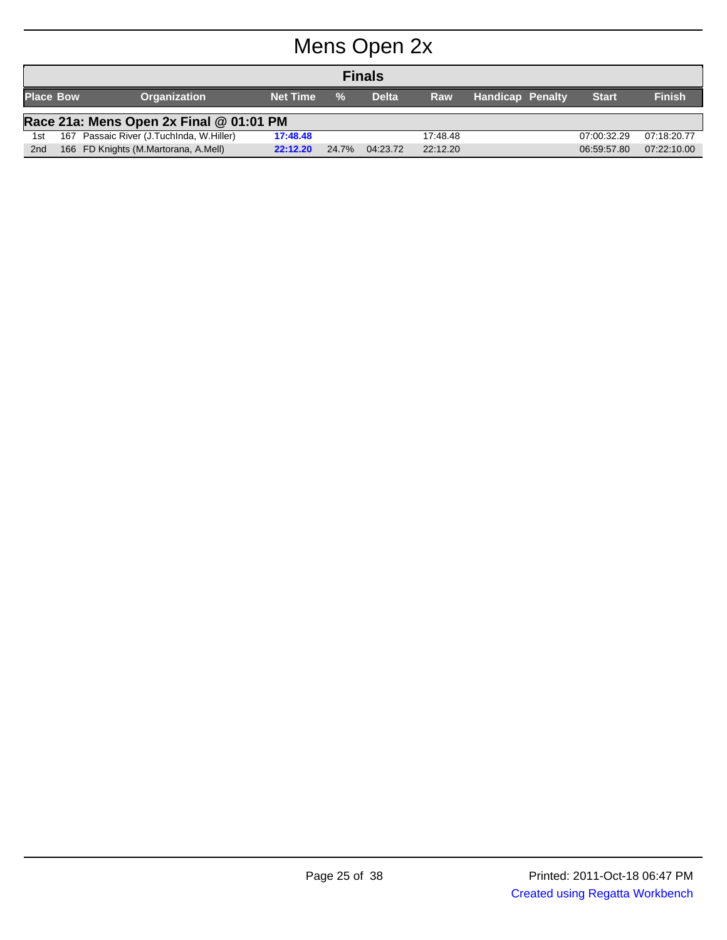# Mens Open 2x

|                  | <b>Finals</b>                           |                                      |                 |               |              |            |                         |              |               |  |
|------------------|-----------------------------------------|--------------------------------------|-----------------|---------------|--------------|------------|-------------------------|--------------|---------------|--|
| <b>Place Bow</b> |                                         | <b>Organization</b>                  | <b>Net Time</b> | $\frac{0}{2}$ | <b>Delta</b> | <b>Raw</b> | <b>Handicap Penalty</b> | <b>Start</b> | <b>Finish</b> |  |
|                  | Race 21a: Mens Open 2x Final @ 01:01 PM |                                      |                 |               |              |            |                         |              |               |  |
| 1st              | 167                                     | Passaic River (J.TuchInda, W.Hiller) | 17:48.48        |               |              | 17:48.48   |                         | 07:00:32.29  | 07:18:20.77   |  |
| 2 <sub>nd</sub>  |                                         | 166 FD Knights (M.Martorana, A.Mell) | 22:12.20        | 24.7%         | 04:23.72     | 22:12.20   |                         | 06:59:57.80  | 07:22:10.00   |  |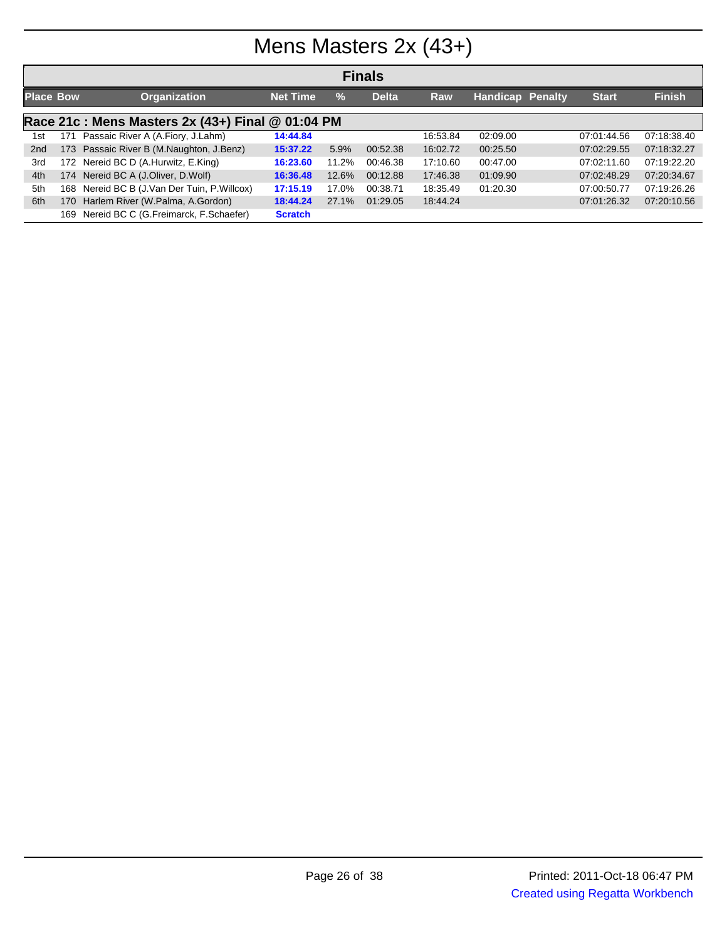# Mens Masters 2x (43+)

|                  | <b>Finals</b>                                     |                                          |                 |       |              |          |                         |  |              |               |  |  |
|------------------|---------------------------------------------------|------------------------------------------|-----------------|-------|--------------|----------|-------------------------|--|--------------|---------------|--|--|
| <b>Place Bow</b> |                                                   | <b>Organization</b>                      | <b>Net Time</b> | $\%$  | <b>Delta</b> | Raw      | <b>Handicap Penalty</b> |  | <b>Start</b> | <b>Finish</b> |  |  |
|                  | Race 21c : Mens Masters 2x (43+) Final @ 01:04 PM |                                          |                 |       |              |          |                         |  |              |               |  |  |
| 1st              | 171                                               | Passaic River A (A.Fiory, J.Lahm)        | 14:44.84        |       |              | 16:53.84 | 02:09.00                |  | 07:01:44.56  | 07:18:38.40   |  |  |
| 2 <sub>nd</sub>  |                                                   | 173 Passaic River B (M.Naughton, J.Benz) | 15:37.22        | 5.9%  | 00:52.38     | 16:02.72 | 00:25.50                |  | 07:02:29.55  | 07:18:32.27   |  |  |
| 3rd              |                                                   | 172 Nereid BC D (A.Hurwitz, E.King)      | 16:23.60        | 11.2% | 00:46.38     | 17:10.60 | 00:47.00                |  | 07:02:11.60  | 07:19:22.20   |  |  |
| 4th              |                                                   | 174 Nereid BC A (J.Oliver, D.Wolf)       | 16:36.48        | 12.6% | 00:12.88     | 17:46.38 | 01:09.90                |  | 07:02:48.29  | 07:20:34.67   |  |  |
| 5th              | 168                                               | Nereid BC B (J.Van Der Tuin, P.Willcox)  | 17:15.19        | 17.0% | 00:38.71     | 18:35.49 | 01:20.30                |  | 07:00:50.77  | 07:19:26.26   |  |  |
| 6th              | 170                                               | Harlem River (W.Palma, A.Gordon)         | 18:44.24        | 27.1% | 01:29.05     | 18:44.24 |                         |  | 07:01:26.32  | 07:20:10.56   |  |  |
|                  | 169                                               | Nereid BC C (G.Freimarck, F.Schaefer)    | <b>Scratch</b>  |       |              |          |                         |  |              |               |  |  |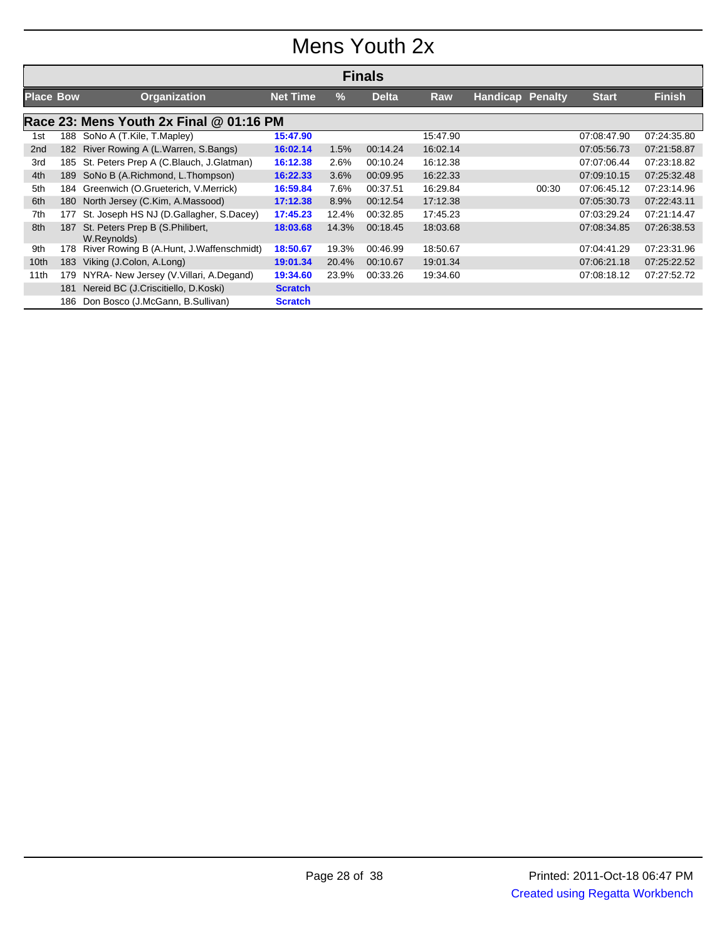### Mens Youth 2x

|                  | <b>Finals</b>                           |                                                |                 |       |              |            |                         |       |              |               |  |  |
|------------------|-----------------------------------------|------------------------------------------------|-----------------|-------|--------------|------------|-------------------------|-------|--------------|---------------|--|--|
| <b>Place Bow</b> |                                         | <b>Organization</b>                            | <b>Net Time</b> | $\%$  | <b>Delta</b> | <b>Raw</b> | <b>Handicap Penalty</b> |       | <b>Start</b> | <b>Finish</b> |  |  |
|                  | Race 23: Mens Youth 2x Final @ 01:16 PM |                                                |                 |       |              |            |                         |       |              |               |  |  |
| 1st              |                                         | 188 SoNo A (T.Kile, T.Mapley)                  | 15:47.90        |       |              | 15:47.90   |                         |       | 07:08:47.90  | 07:24:35.80   |  |  |
| 2 <sub>nd</sub>  | 182                                     | River Rowing A (L. Warren, S. Bangs)           | 16:02.14        | 1.5%  | 00:14.24     | 16:02.14   |                         |       | 07:05:56.73  | 07:21:58.87   |  |  |
| 3rd              | 185                                     | St. Peters Prep A (C.Blauch, J.Glatman)        | 16:12.38        | 2.6%  | 00:10.24     | 16:12.38   |                         |       | 07:07:06.44  | 07:23:18.82   |  |  |
| 4th              |                                         | 189 SoNo B (A.Richmond, L.Thompson)            | 16:22.33        | 3.6%  | 00:09.95     | 16:22.33   |                         |       | 07:09:10.15  | 07:25:32.48   |  |  |
| 5th              |                                         | 184 Greenwich (O.Grueterich, V.Merrick)        | 16:59.84        | 7.6%  | 00:37.51     | 16:29.84   |                         | 00:30 | 07:06:45.12  | 07:23:14.96   |  |  |
| 6th              | 180                                     | North Jersey (C.Kim, A.Massood)                | 17:12.38        | 8.9%  | 00:12.54     | 17:12.38   |                         |       | 07:05:30.73  | 07:22:43.11   |  |  |
| 7th              | 177                                     | St. Joseph HS NJ (D.Gallagher, S.Dacey)        | 17:45.23        | 12.4% | 00:32.85     | 17:45.23   |                         |       | 07:03:29.24  | 07:21:14.47   |  |  |
| 8th              | 187                                     | St. Peters Prep B (S.Philibert,<br>W.Reynolds) | 18:03.68        | 14.3% | 00:18.45     | 18:03.68   |                         |       | 07:08:34.85  | 07:26:38.53   |  |  |
| 9th              | 178                                     | River Rowing B (A.Hunt, J.Waffenschmidt)       | 18:50.67        | 19.3% | 00:46.99     | 18:50.67   |                         |       | 07:04:41.29  | 07:23:31.96   |  |  |
| 10th             | 183                                     | Viking (J.Colon, A.Long)                       | 19:01.34        | 20.4% | 00:10.67     | 19:01.34   |                         |       | 07:06:21.18  | 07:25:22.52   |  |  |
| 11th             | 179                                     | NYRA- New Jersey (V. Villari, A. Degand)       | 19:34.60        | 23.9% | 00:33.26     | 19:34.60   |                         |       | 07:08:18.12  | 07:27:52.72   |  |  |
|                  | 181                                     | Nereid BC (J.Criscitiello, D.Koski)            | <b>Scratch</b>  |       |              |            |                         |       |              |               |  |  |
|                  | 186                                     | Don Bosco (J.McGann, B.Sullivan)               | <b>Scratch</b>  |       |              |            |                         |       |              |               |  |  |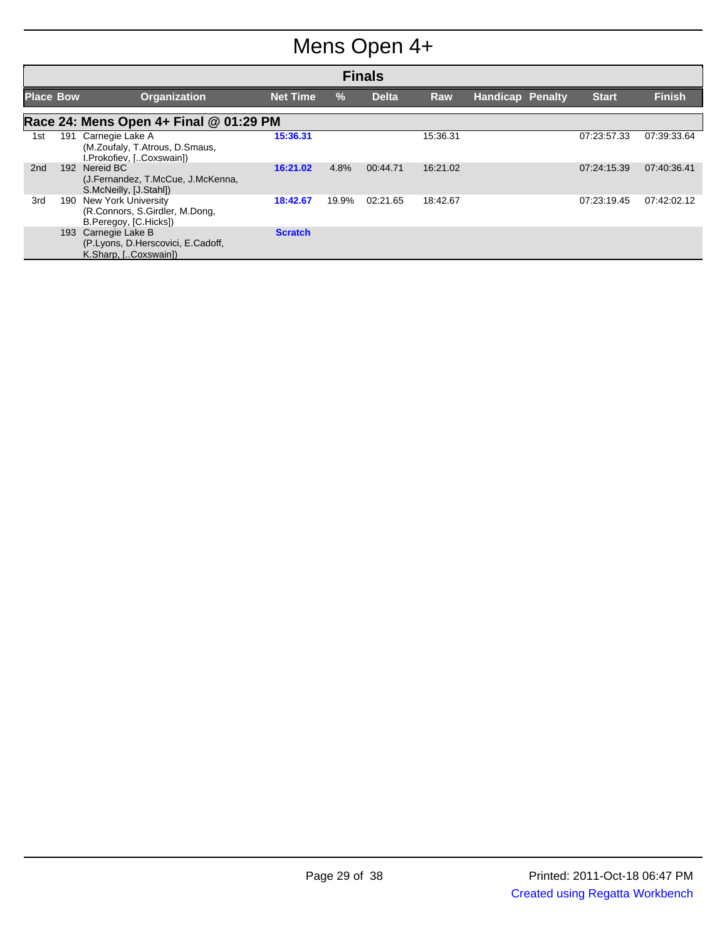# Mens Open 4+

|                  | <b>Finals</b>                          |                                                                                       |                 |       |              |            |                         |              |               |  |  |
|------------------|----------------------------------------|---------------------------------------------------------------------------------------|-----------------|-------|--------------|------------|-------------------------|--------------|---------------|--|--|
| <b>Place Bow</b> |                                        | <b>Organization</b>                                                                   | <b>Net Time</b> | %     | <b>Delta</b> | <b>Raw</b> | <b>Handicap Penalty</b> | <b>Start</b> | <b>Finish</b> |  |  |
|                  | Race 24: Mens Open 4+ Final @ 01:29 PM |                                                                                       |                 |       |              |            |                         |              |               |  |  |
| 1st              | 191                                    | Carnegie Lake A<br>(M.Zoufaly, T.Atrous, D.Smaus,<br>I.Prokofiev, [Coxswain])         | 15:36.31        |       |              | 15:36.31   |                         | 07:23:57.33  | 07:39:33.64   |  |  |
| 2 <sub>nd</sub>  | 192                                    | Nereid BC<br>(J.Fernandez, T.McCue, J.McKenna,<br>S.McNeilly, [J.Stahl])              | 16:21.02        | 4.8%  | 00:44.71     | 16:21.02   |                         | 07:24:15.39  | 07:40:36.41   |  |  |
| 3rd              | 190                                    | <b>New York University</b><br>(R.Connors, S.Girdler, M.Dong,<br>B.Peregoy, [C.Hicks]) | 18:42.67        | 19.9% | 02:21.65     | 18:42.67   |                         | 07:23:19.45  | 07:42:02.12   |  |  |
|                  | 193                                    | Carnegie Lake B<br>(P.Lyons, D.Herscovici, E.Cadoff,<br>K.Sharp, [Coxswain])          | <b>Scratch</b>  |       |              |            |                         |              |               |  |  |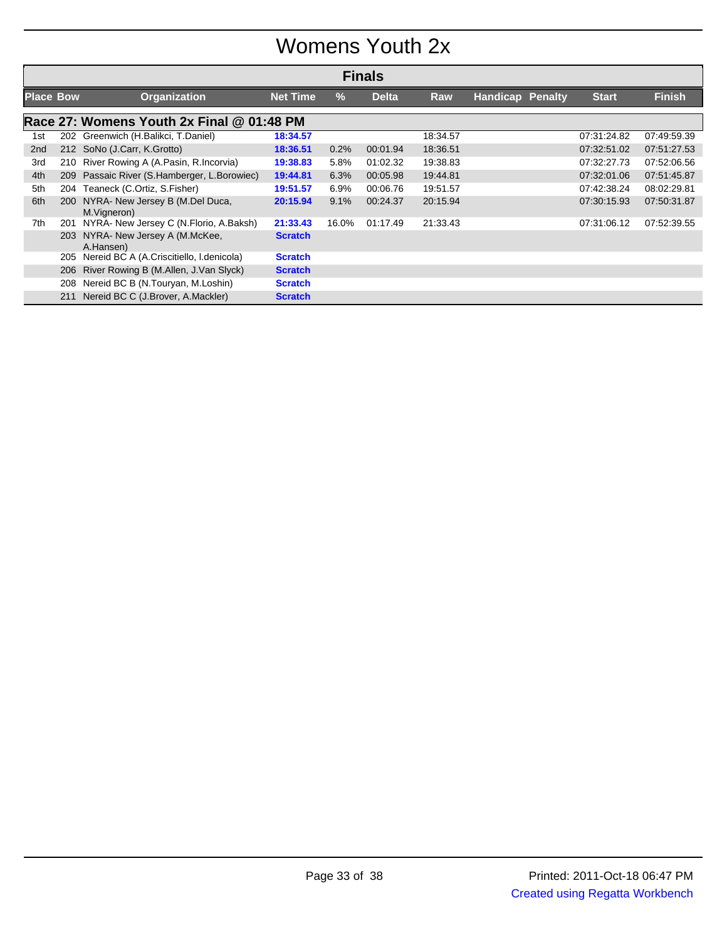### Womens Youth 2x

|                  | <b>Finals</b> |                                                |                 |               |              |          |                         |  |              |               |  |
|------------------|---------------|------------------------------------------------|-----------------|---------------|--------------|----------|-------------------------|--|--------------|---------------|--|
| <b>Place Bow</b> |               | Organization                                   | <b>Net Time</b> | $\frac{9}{6}$ | <b>Delta</b> | Raw      | <b>Handicap Penalty</b> |  | <b>Start</b> | <b>Finish</b> |  |
|                  |               | Race 27: Womens Youth 2x Final @ 01:48 PM      |                 |               |              |          |                         |  |              |               |  |
| 1st              |               | 202 Greenwich (H.Balikci, T.Daniel)            | 18:34.57        |               |              | 18:34.57 |                         |  | 07:31:24.82  | 07:49:59.39   |  |
| 2 <sub>nd</sub>  |               | 212 SoNo (J.Carr, K.Grotto)                    | 18:36.51        | 0.2%          | 00:01.94     | 18:36.51 |                         |  | 07:32:51.02  | 07:51:27.53   |  |
| 3rd              | 210           | River Rowing A (A.Pasin, R.Incorvia)           | 19:38.83        | 5.8%          | 01:02.32     | 19:38.83 |                         |  | 07:32:27.73  | 07:52:06.56   |  |
| 4th              |               | 209 Passaic River (S.Hamberger, L.Borowiec)    | 19:44.81        | 6.3%          | 00:05.98     | 19:44.81 |                         |  | 07:32:01.06  | 07:51:45.87   |  |
| 5th              | 204           | Teaneck (C.Ortiz, S.Fisher)                    | 19:51.57        | $6.9\%$       | 00:06.76     | 19:51.57 |                         |  | 07:42:38.24  | 08:02:29.81   |  |
| 6th              | <b>200</b>    | NYRA- New Jersey B (M.Del Duca,<br>M.Vigneron) | 20:15.94        | 9.1%          | 00:24.37     | 20:15.94 |                         |  | 07:30:15.93  | 07:50:31.87   |  |
| 7th              | 201           | NYRA- New Jersey C (N.Florio, A.Baksh)         | 21:33.43        | 16.0%         | 01:17.49     | 21:33.43 |                         |  | 07:31:06.12  | 07:52:39.55   |  |
|                  | 203           | NYRA- New Jersey A (M.McKee,<br>A.Hansen)      | <b>Scratch</b>  |               |              |          |                         |  |              |               |  |
|                  | 205           | Nereid BC A (A.Criscitiello, I.denicola)       | <b>Scratch</b>  |               |              |          |                         |  |              |               |  |
|                  | 206           | River Rowing B (M.Allen, J.Van Slyck)          | <b>Scratch</b>  |               |              |          |                         |  |              |               |  |
|                  | 208           | Nereid BC B (N.Touryan, M.Loshin)              | <b>Scratch</b>  |               |              |          |                         |  |              |               |  |
|                  | 211           | Nereid BC C (J.Brover, A.Mackler)              | <b>Scratch</b>  |               |              |          |                         |  |              |               |  |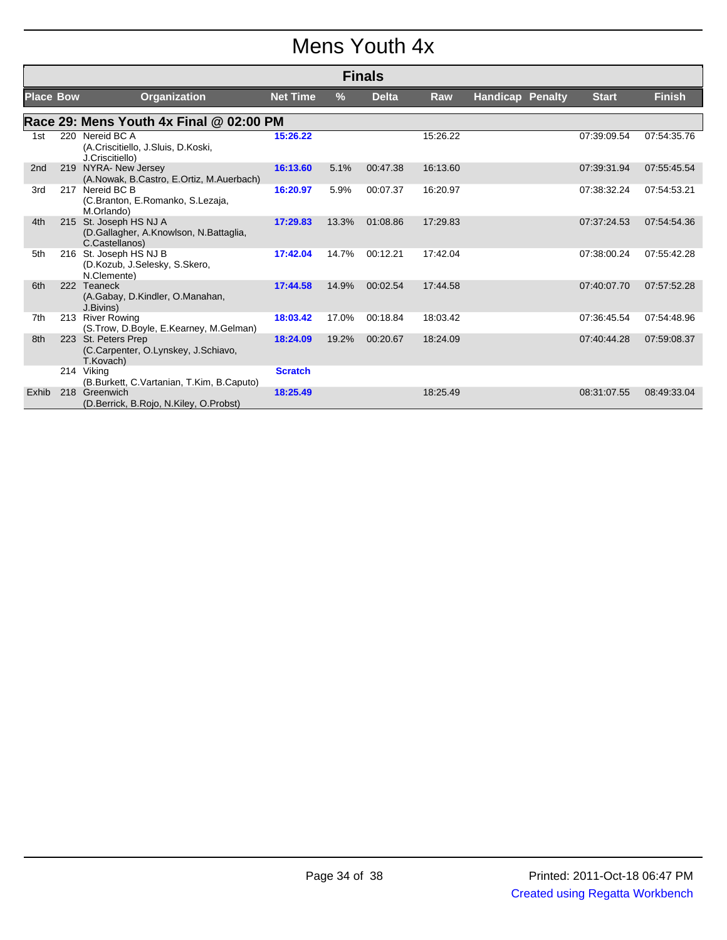### Mens Youth 4x

|                  |     |                                                                                    |                 |       | <b>Finals</b> |            |                         |              |               |
|------------------|-----|------------------------------------------------------------------------------------|-----------------|-------|---------------|------------|-------------------------|--------------|---------------|
| <b>Place Bow</b> |     | <b>Organization</b>                                                                | <b>Net Time</b> | %     | <b>Delta</b>  | <b>Raw</b> | <b>Handicap Penalty</b> | <b>Start</b> | <b>Finish</b> |
|                  |     | Race 29: Mens Youth 4x Final @ 02:00 PM                                            |                 |       |               |            |                         |              |               |
| 1st              |     | 220 Nereid BC A<br>(A.Criscitiello, J.Sluis, D.Koski,<br>J.Criscitiello)           | 15:26.22        |       |               | 15:26.22   |                         | 07:39:09.54  | 07:54:35.76   |
| 2 <sub>nd</sub>  | 219 | NYRA- New Jersey<br>(A.Nowak, B.Castro, E.Ortiz, M.Auerbach)                       | 16:13.60        | 5.1%  | 00:47.38      | 16:13.60   |                         | 07:39:31.94  | 07:55:45.54   |
| 3rd              | 217 | Nereid BC B<br>(C.Branton, E.Romanko, S.Lezaja,<br>M.Orlando)                      | 16:20.97        | 5.9%  | 00:07.37      | 16:20.97   |                         | 07:38:32.24  | 07:54:53.21   |
| 4th              |     | 215 St. Joseph HS NJ A<br>(D.Gallagher, A.Knowlson, N.Battaglia,<br>C.Castellanos) | 17:29.83        | 13.3% | 01:08.86      | 17:29.83   |                         | 07:37:24.53  | 07:54:54.36   |
| 5th              |     | 216 St. Joseph HS NJ B<br>(D.Kozub, J.Selesky, S.Skero,<br>N.Clemente)             | 17:42.04        | 14.7% | 00:12.21      | 17:42.04   |                         | 07:38:00.24  | 07:55:42.28   |
| 6th              | 222 | Teaneck<br>(A.Gabay, D.Kindler, O.Manahan,<br>J.Bivins)                            | 17:44.58        | 14.9% | 00:02.54      | 17:44.58   |                         | 07:40:07.70  | 07:57:52.28   |
| 7th              | 213 | <b>River Rowing</b><br>(S.Trow, D.Boyle, E.Kearney, M.Gelman)                      | 18:03.42        | 17.0% | 00:18.84      | 18:03.42   |                         | 07:36:45.54  | 07:54:48.96   |
| 8th              |     | 223 St. Peters Prep<br>(C.Carpenter, O.Lynskey, J.Schiavo,<br>T.Kovach)            | 18:24.09        | 19.2% | 00:20.67      | 18:24.09   |                         | 07:40:44.28  | 07:59:08.37   |
|                  |     | 214 Viking<br>(B.Burkett, C.Vartanian, T.Kim, B.Caputo)                            | <b>Scratch</b>  |       |               |            |                         |              |               |
| Exhib            |     | 218 Greenwich<br>(D.Berrick, B.Rojo, N.Kiley, O.Probst)                            | 18:25.49        |       |               | 18:25.49   |                         | 08:31:07.55  | 08:49:33.04   |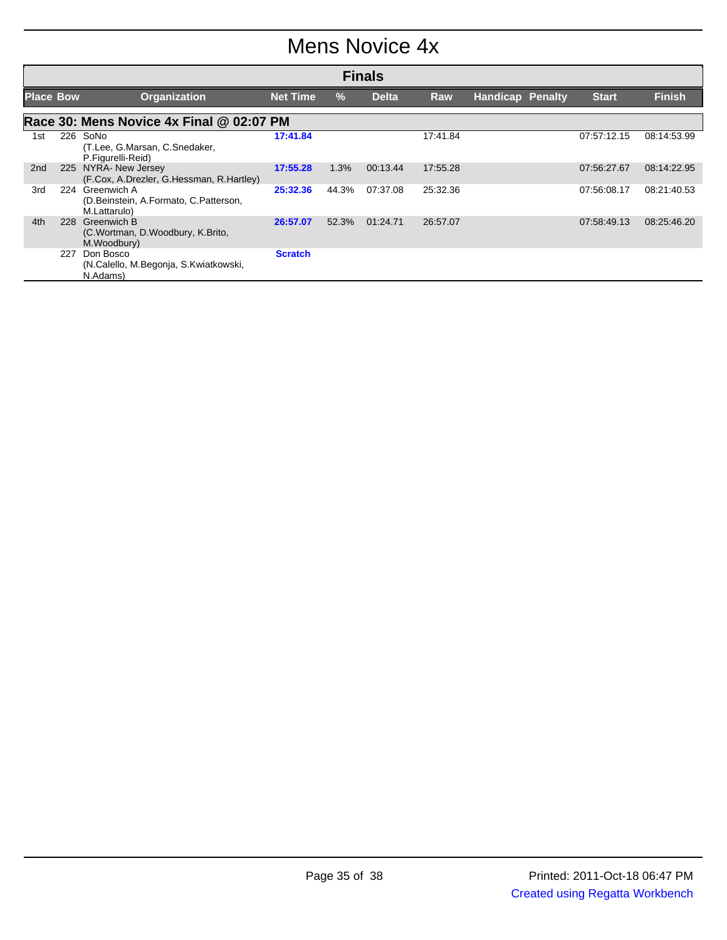### Mens Novice 4x

|                  | <b>Finals</b>                            |                                                                      |                 |       |              |            |                         |              |               |  |  |  |
|------------------|------------------------------------------|----------------------------------------------------------------------|-----------------|-------|--------------|------------|-------------------------|--------------|---------------|--|--|--|
| <b>Place Bow</b> |                                          | <b>Organization</b>                                                  | <b>Net Time</b> | $\%$  | <b>Delta</b> | <b>Raw</b> | <b>Handicap Penalty</b> | <b>Start</b> | <b>Finish</b> |  |  |  |
|                  | Race 30: Mens Novice 4x Final @ 02:07 PM |                                                                      |                 |       |              |            |                         |              |               |  |  |  |
| 1st              | 226                                      | SoNo<br>(T.Lee, G.Marsan, C.Snedaker,<br>P.Figurelli-Reid)           | 17:41.84        |       |              | 17:41.84   |                         | 07:57:12.15  | 08:14:53.99   |  |  |  |
| 2 <sub>nd</sub>  | 225                                      | NYRA- New Jersey<br>(F.Cox, A.Drezler, G.Hessman, R.Hartley)         | 17:55.28        | 1.3%  | 00:13.44     | 17:55.28   |                         | 07:56:27.67  | 08:14:22.95   |  |  |  |
| 3rd              | 224                                      | Greenwich A<br>(D.Beinstein, A.Formato, C.Patterson,<br>M.Lattarulo) | 25:32.36        | 44.3% | 07:37.08     | 25:32.36   |                         | 07:56:08.17  | 08:21:40.53   |  |  |  |
| 4th              | 228                                      | Greenwich B<br>(C.Wortman, D.Woodbury, K.Brito,<br>M.Woodbury)       | 26:57.07        | 52.3% | 01:24.71     | 26:57.07   |                         | 07:58:49.13  | 08:25:46.20   |  |  |  |
|                  | 227                                      | Don Bosco<br>(N.Calello, M.Begonja, S.Kwiatkowski,<br>N.Adams)       | <b>Scratch</b>  |       |              |            |                         |              |               |  |  |  |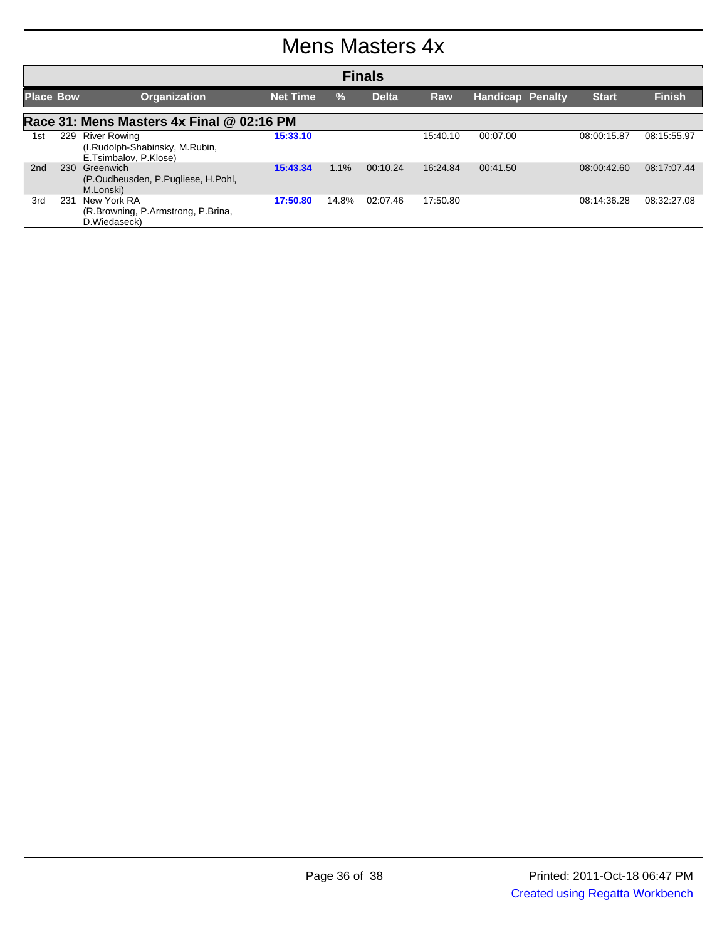#### Mens Masters 4x

|                  | <b>Finals</b> |                                                                             |                 |               |              |            |                         |              |               |  |  |  |
|------------------|---------------|-----------------------------------------------------------------------------|-----------------|---------------|--------------|------------|-------------------------|--------------|---------------|--|--|--|
| <b>Place Bow</b> |               | <b>Organization</b>                                                         | <b>Net Time</b> | $\frac{0}{0}$ | <b>Delta</b> | <b>Raw</b> | <b>Handicap Penalty</b> | <b>Start</b> | <b>Finish</b> |  |  |  |
|                  |               | Race 31: Mens Masters 4x Final @ 02:16 PM                                   |                 |               |              |            |                         |              |               |  |  |  |
| 1st              |               | 229 River Rowing<br>(I.Rudolph-Shabinsky, M.Rubin,<br>E.Tsimbalov, P.Klose) | 15:33.10        |               |              | 15:40.10   | 00:07.00                | 08:00:15.87  | 08:15:55.97   |  |  |  |
| 2nd              | 230           | Greenwich<br>(P.Oudheusden, P.Pugliese, H.Pohl,<br>M.Lonski)                | 15:43.34        | 1.1%          | 00:10.24     | 16:24.84   | 00:41.50                | 08:00:42.60  | 08:17:07.44   |  |  |  |
| 3rd              | 231           | New York RA<br>(R.Browning, P.Armstrong, P.Brina,<br>D.Wiedaseck)           | 17:50.80        | 14.8%         | 02:07.46     | 17:50.80   |                         | 08:14:36.28  | 08:32:27.08   |  |  |  |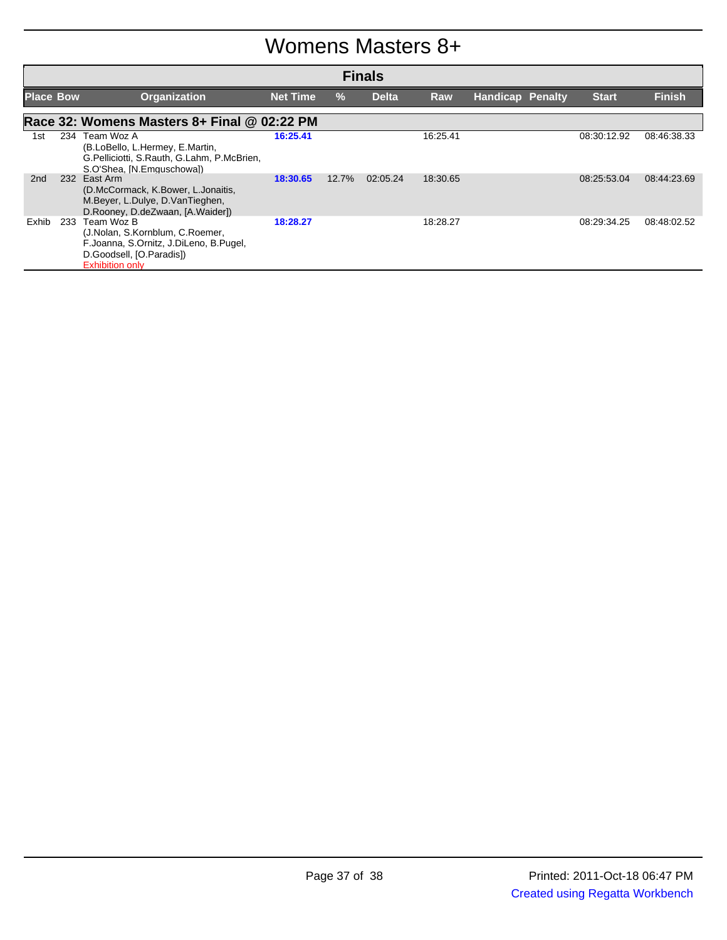#### Womens Masters 8+

|                  | <b>Finals</b> |                                                                                                                                               |                 |       |              |            |                         |  |              |               |  |
|------------------|---------------|-----------------------------------------------------------------------------------------------------------------------------------------------|-----------------|-------|--------------|------------|-------------------------|--|--------------|---------------|--|
| <b>Place Bow</b> |               | <b>Organization</b>                                                                                                                           | <b>Net Time</b> | $\%$  | <b>Delta</b> | <b>Raw</b> | <b>Handicap Penalty</b> |  | <b>Start</b> | <b>Finish</b> |  |
|                  |               | Race 32: Womens Masters 8+ Final @ 02:22 PM                                                                                                   |                 |       |              |            |                         |  |              |               |  |
| 1st              |               | 234 Team Woz A<br>(B.LoBello, L.Hermey, E.Martin,<br>G.Pelliciotti, S.Rauth, G.Lahm, P.McBrien,<br>S.O'Shea, [N.Emguschowa])                  | 16:25.41        |       |              | 16:25.41   |                         |  | 08:30:12.92  | 08:46:38.33   |  |
| 2 <sub>nd</sub>  |               | 232 East Arm<br>(D.McCormack, K.Bower, L.Jonaitis,<br>M.Beyer, L.Dulye, D.VanTieghen,<br>D.Rooney, D.deZwaan, [A.Waider])                     | 18:30.65        | 12.7% | 02:05.24     | 18:30.65   |                         |  | 08.25.53.04  | 08:44:23.69   |  |
| Exhib            | 233           | Team Woz B<br>(J.Nolan, S.Kornblum, C.Roemer,<br>F.Joanna, S.Ornitz, J.DiLeno, B.Pugel,<br>D.Goodsell, [O.Paradis])<br><b>Exhibition only</b> | 18:28.27        |       |              | 18:28.27   |                         |  | 08:29:34.25  | 08:48:02.52   |  |